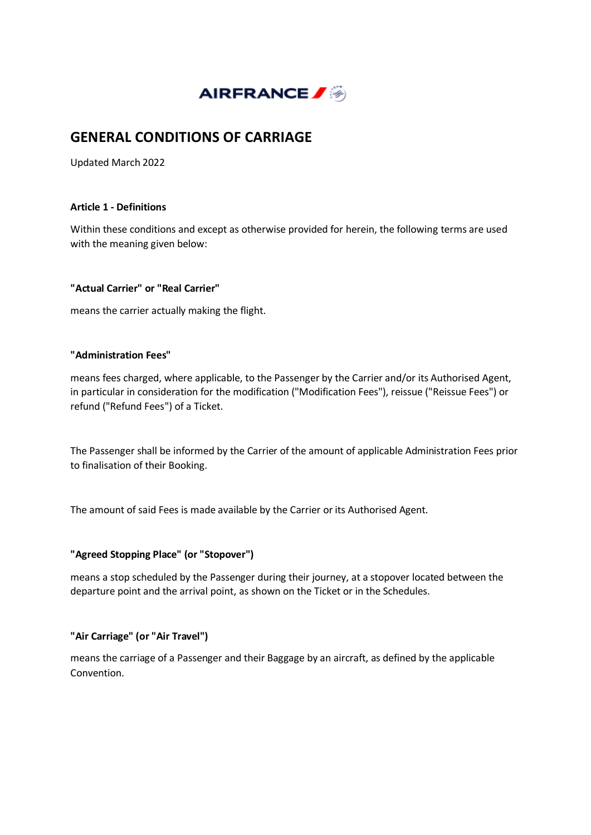

# **GENERAL CONDITIONS OF CARRIAGE**

Updated March 2022

### **Article 1 - Definitions**

Within these conditions and except as otherwise provided for herein, the following terms are used with the meaning given below:

### **"Actual Carrier" or "Real Carrier"**

means the carrier actually making the flight.

#### **"Administration Fees"**

means fees charged, where applicable, to the Passenger by the Carrier and/or its Authorised Agent, in particular in consideration for the modification ("Modification Fees"), reissue ("Reissue Fees") or refund ("Refund Fees") of a Ticket.

The Passenger shall be informed by the Carrier of the amount of applicable Administration Fees prior to finalisation of their Booking.

The amount of said Fees is made available by the Carrier or its Authorised Agent.

#### **"Agreed Stopping Place" (or "Stopover")**

means a stop scheduled by the Passenger during their journey, at a stopover located between the departure point and the arrival point, as shown on the Ticket or in the Schedules.

#### **"Air Carriage" (or "Air Travel")**

means the carriage of a Passenger and their Baggage by an aircraft, as defined by the applicable Convention.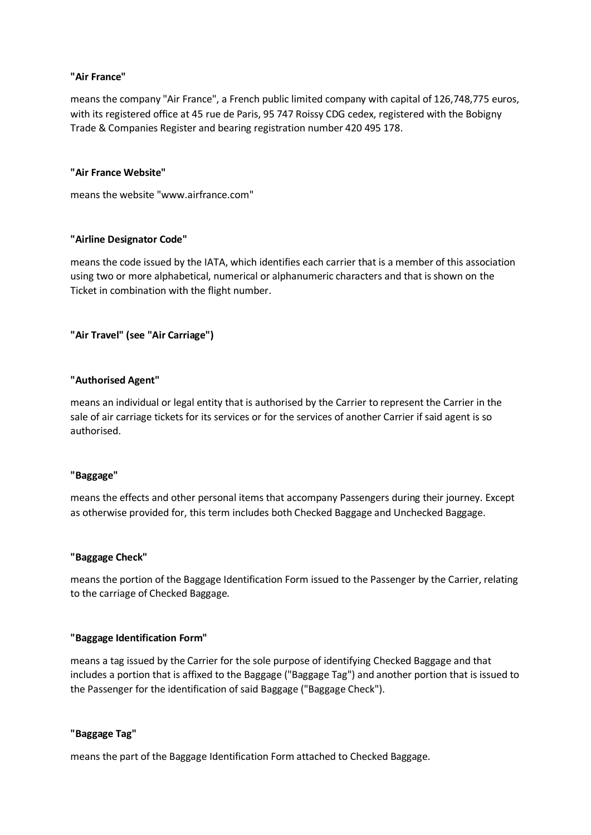### **"Air France"**

means the company "Air France", a French public limited company with capital of 126,748,775 euros, with its registered office at 45 rue de Paris, 95 747 Roissy CDG cedex, registered with the Bobigny Trade & Companies Register and bearing registration number 420 495 178.

### **"Air France Website"**

means the website "www.airfrance.com"

### **"Airline Designator Code"**

means the code issued by the IATA, which identifies each carrier that is a member of this association using two or more alphabetical, numerical or alphanumeric characters and that is shown on the Ticket in combination with the flight number.

### **"Air Travel" (see "Air Carriage")**

### **"Authorised Agent"**

means an individual or legal entity that is authorised by the Carrier to represent the Carrier in the sale of air carriage tickets for its services or for the services of another Carrier if said agent is so authorised.

#### **"Baggage"**

means the effects and other personal items that accompany Passengers during their journey. Except as otherwise provided for, this term includes both Checked Baggage and Unchecked Baggage.

#### **"Baggage Check"**

means the portion of the Baggage Identification Form issued to the Passenger by the Carrier, relating to the carriage of Checked Baggage.

#### **"Baggage Identification Form"**

means a tag issued by the Carrier for the sole purpose of identifying Checked Baggage and that includes a portion that is affixed to the Baggage ("Baggage Tag") and another portion that is issued to the Passenger for the identification of said Baggage ("Baggage Check").

#### **"Baggage Tag"**

means the part of the Baggage Identification Form attached to Checked Baggage.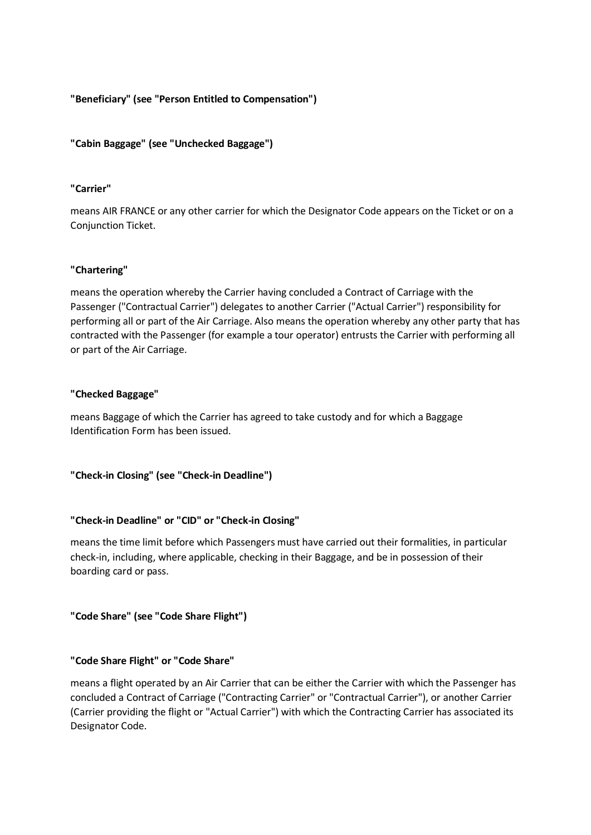**"Beneficiary" (see "Person Entitled to Compensation")**

**"Cabin Baggage" (see "Unchecked Baggage")**

### **"Carrier"**

means AIR FRANCE or any other carrier for which the Designator Code appears on the Ticket or on a Conjunction Ticket.

### **"Chartering"**

means the operation whereby the Carrier having concluded a Contract of Carriage with the Passenger ("Contractual Carrier") delegates to another Carrier ("Actual Carrier") responsibility for performing all or part of the Air Carriage. Also means the operation whereby any other party that has contracted with the Passenger (for example a tour operator) entrusts the Carrier with performing all or part of the Air Carriage.

### **"Checked Baggage"**

means Baggage of which the Carrier has agreed to take custody and for which a Baggage Identification Form has been issued.

**"Check-in Closing" (see "Check-in Deadline")**

#### **"Check-in Deadline" or "CID" or "Check-in Closing"**

means the time limit before which Passengers must have carried out their formalities, in particular check-in, including, where applicable, checking in their Baggage, and be in possession of their boarding card or pass.

**"Code Share" (see "Code Share Flight")**

#### **"Code Share Flight" or "Code Share"**

means a flight operated by an Air Carrier that can be either the Carrier with which the Passenger has concluded a Contract of Carriage ("Contracting Carrier" or "Contractual Carrier"), or another Carrier (Carrier providing the flight or "Actual Carrier") with which the Contracting Carrier has associated its Designator Code.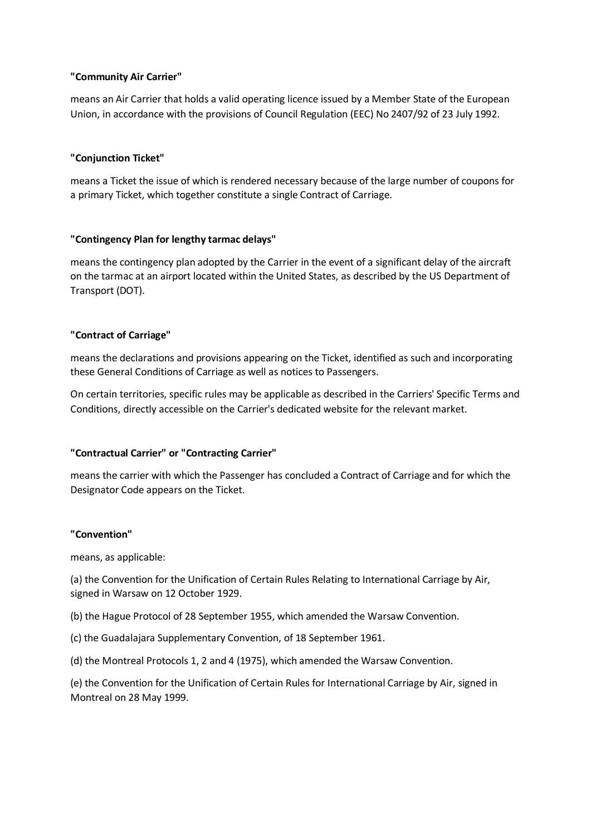### **"Community Air Carrier"**

means an Air Carrier that holds a valid operating licence issued by a Member State of the European Union, in accordance with the provisions of Council Regulation (EEC) No 2407/92 of 23 July 1992.

### **"Conjunction Ticket"**

means a Ticket the issue of which is rendered necessary because of the large number of coupons for a primary Ticket, which together constitute a single Contract of Carriage.

### **"Contingency Plan for lengthy tarmac delays"**

means the contingency plan adopted by the Carrier in the event of a significant delay of the aircraft on the tarmac at an airport located within the United States, as described by the US Department of Transport (DOT).

### **"Contract of Carriage"**

means the declarations and provisions appearing on the Ticket, identified as such and incorporating these General Conditions of Carriage as well as notices to Passengers.

On certain territories, specific rules may be applicable as described in the Carriers' Specific Terms and Conditions, directly accessible on the Carrier's dedicated website for the relevant market.

# **"Contractual Carrier" or "Contracting Carrier"**

means the carrier with which the Passenger has concluded a Contract of Carriage and for which the Designator Code appears on the Ticket.

#### **"Convention"**

means, as applicable:

(a) the Convention for the Unification of Certain Rules Relating to International Carriage by Air, signed in Warsaw on 12 October 1929.

- (b) the Hague Protocol of 28 September 1955, which amended the Warsaw Convention.
- (c) the Guadalajara Supplementary Convention, of 18 September 1961.
- (d) the Montreal Protocols 1, 2 and 4 (1975), which amended the Warsaw Convention.

(e) the Convention for the Unification of Certain Rules for International Carriage by Air, signed in Montreal on 28 May 1999.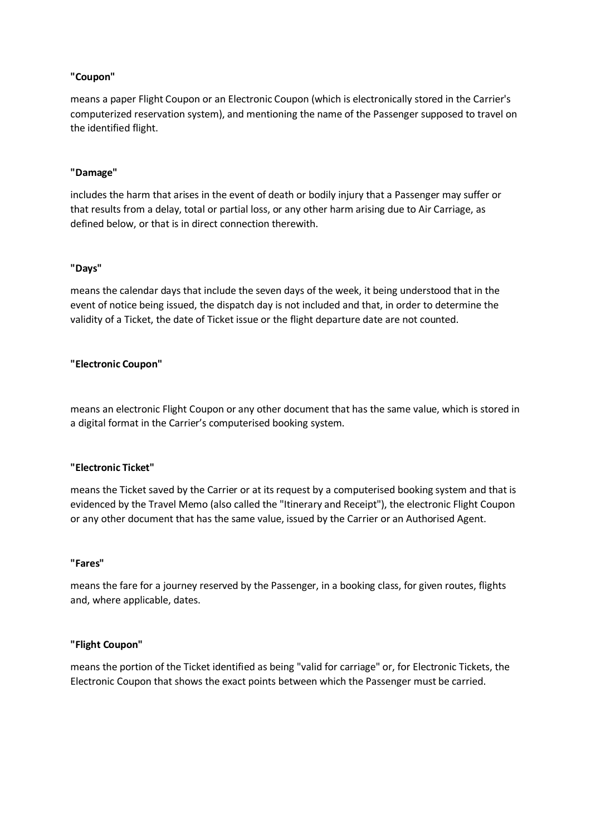### **"Coupon"**

means a paper Flight Coupon or an Electronic Coupon (which is electronically stored in the Carrier's computerized reservation system), and mentioning the name of the Passenger supposed to travel on the identified flight.

#### **"Damage"**

includes the harm that arises in the event of death or bodily injury that a Passenger may suffer or that results from a delay, total or partial loss, or any other harm arising due to Air Carriage, as defined below, or that is in direct connection therewith.

#### **"Days"**

means the calendar days that include the seven days of the week, it being understood that in the event of notice being issued, the dispatch day is not included and that, in order to determine the validity of a Ticket, the date of Ticket issue or the flight departure date are not counted.

#### **"Electronic Coupon"**

means an electronic Flight Coupon or any other document that has the same value, which is stored in a digital format in the Carrier's computerised booking system.

#### **"Electronic Ticket"**

means the Ticket saved by the Carrier or at its request by a computerised booking system and that is evidenced by the Travel Memo (also called the "Itinerary and Receipt"), the electronic Flight Coupon or any other document that has the same value, issued by the Carrier or an Authorised Agent.

#### **"Fares"**

means the fare for a journey reserved by the Passenger, in a booking class, for given routes, flights and, where applicable, dates.

#### **"Flight Coupon"**

means the portion of the Ticket identified as being "valid for carriage" or, for Electronic Tickets, the Electronic Coupon that shows the exact points between which the Passenger must be carried.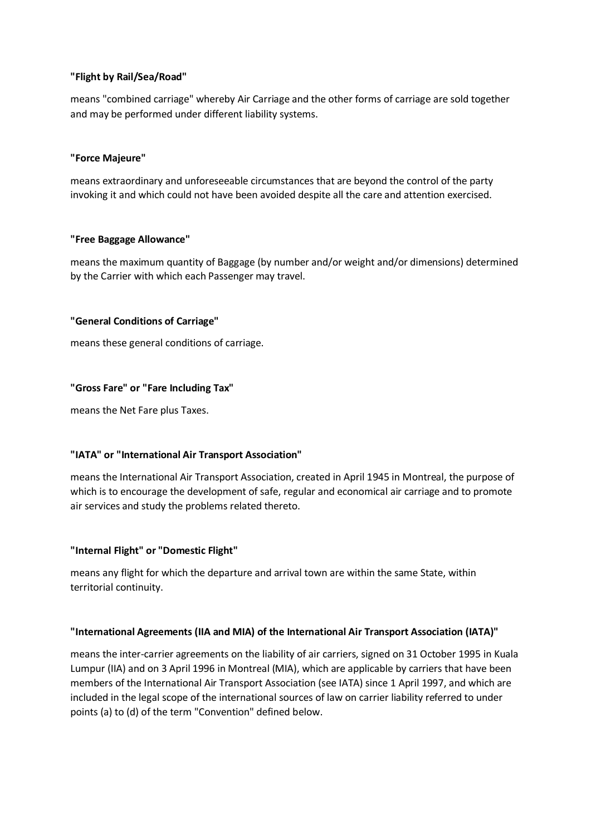### **"Flight by Rail/Sea/Road"**

means "combined carriage" whereby Air Carriage and the other forms of carriage are sold together and may be performed under different liability systems.

### **"Force Majeure"**

means extraordinary and unforeseeable circumstances that are beyond the control of the party invoking it and which could not have been avoided despite all the care and attention exercised.

### **"Free Baggage Allowance"**

means the maximum quantity of Baggage (by number and/or weight and/or dimensions) determined by the Carrier with which each Passenger may travel.

### **"General Conditions of Carriage"**

means these general conditions of carriage.

### **"Gross Fare" or "Fare Including Tax"**

means the Net Fare plus Taxes.

# **"IATA" or "International Air Transport Association"**

means the International Air Transport Association, created in April 1945 in Montreal, the purpose of which is to encourage the development of safe, regular and economical air carriage and to promote air services and study the problems related thereto.

# **"Internal Flight" or "Domestic Flight"**

means any flight for which the departure and arrival town are within the same State, within territorial continuity.

#### **"International Agreements (IIA and MIA) of the International Air Transport Association (IATA)"**

means the inter-carrier agreements on the liability of air carriers, signed on 31 October 1995 in Kuala Lumpur (IIA) and on 3 April 1996 in Montreal (MIA), which are applicable by carriers that have been members of the International Air Transport Association (see IATA) since 1 April 1997, and which are included in the legal scope of the international sources of law on carrier liability referred to under points (a) to (d) of the term "Convention" defined below.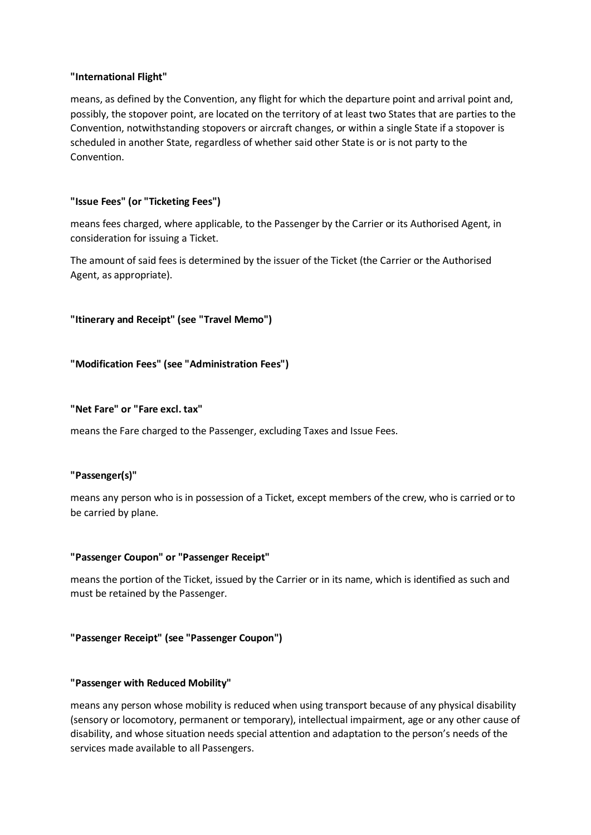### **"International Flight"**

means, as defined by the Convention, any flight for which the departure point and arrival point and, possibly, the stopover point, are located on the territory of at least two States that are parties to the Convention, notwithstanding stopovers or aircraft changes, or within a single State if a stopover is scheduled in another State, regardless of whether said other State is or is not party to the Convention.

### **"Issue Fees" (or "Ticketing Fees")**

means fees charged, where applicable, to the Passenger by the Carrier or its Authorised Agent, in consideration for issuing a Ticket.

The amount of said fees is determined by the issuer of the Ticket (the Carrier or the Authorised Agent, as appropriate).

```
"Itinerary and Receipt" (see "Travel Memo")
```
**"Modification Fees" (see "Administration Fees")**

**"Net Fare" or "Fare excl. tax"**

means the Fare charged to the Passenger, excluding Taxes and Issue Fees.

#### **"Passenger(s)"**

means any person who is in possession of a Ticket, except members of the crew, who is carried or to be carried by plane.

#### **"Passenger Coupon" or "Passenger Receipt"**

means the portion of the Ticket, issued by the Carrier or in its name, which is identified as such and must be retained by the Passenger.

# **"Passenger Receipt" (see "Passenger Coupon")**

#### **"Passenger with Reduced Mobility"**

means any person whose mobility is reduced when using transport because of any physical disability (sensory or locomotory, permanent or temporary), intellectual impairment, age or any other cause of disability, and whose situation needs special attention and adaptation to the person's needs of the services made available to all Passengers.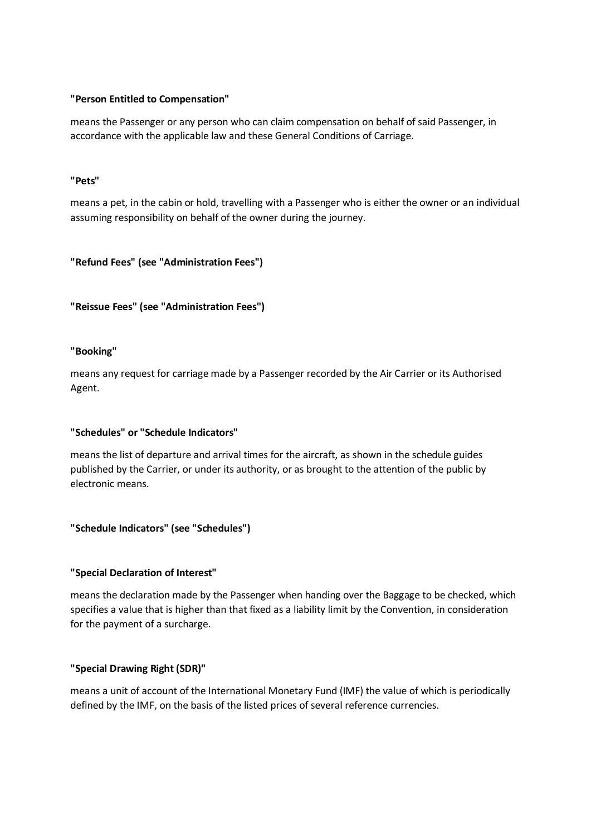### **"Person Entitled to Compensation"**

means the Passenger or any person who can claim compensation on behalf of said Passenger, in accordance with the applicable law and these General Conditions of Carriage.

### **"Pets"**

means a pet, in the cabin or hold, travelling with a Passenger who is either the owner or an individual assuming responsibility on behalf of the owner during the journey.

### **"Refund Fees" (see "Administration Fees")**

**"Reissue Fees" (see "Administration Fees")**

### **"Booking"**

means any request for carriage made by a Passenger recorded by the Air Carrier or its Authorised Agent.

#### **"Schedules" or "Schedule Indicators"**

means the list of departure and arrival times for the aircraft, as shown in the schedule guides published by the Carrier, or under its authority, or as brought to the attention of the public by electronic means.

# **"Schedule Indicators" (see "Schedules")**

# **"Special Declaration of Interest"**

means the declaration made by the Passenger when handing over the Baggage to be checked, which specifies a value that is higher than that fixed as a liability limit by the Convention, in consideration for the payment of a surcharge.

#### **"Special Drawing Right (SDR)"**

means a unit of account of the International Monetary Fund (IMF) the value of which is periodically defined by the IMF, on the basis of the listed prices of several reference currencies.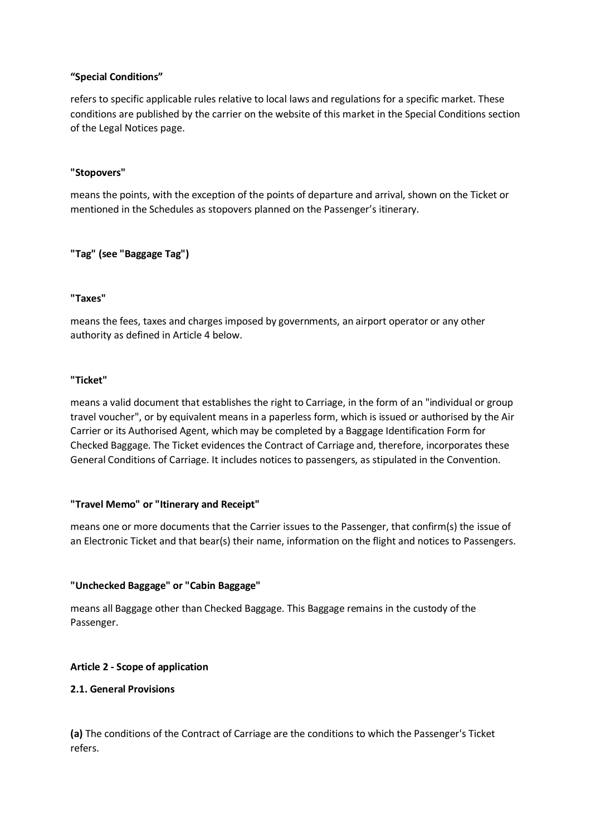### **"Special Conditions"**

refers to specific applicable rules relative to local laws and regulations for a specific market. These conditions are published by the carrier on the website of this market in the Special Conditions section of the Legal Notices page.

### **"Stopovers"**

means the points, with the exception of the points of departure and arrival, shown on the Ticket or mentioned in the Schedules as stopovers planned on the Passenger's itinerary.

### **"Tag" (see "Baggage Tag")**

### **"Taxes"**

means the fees, taxes and charges imposed by governments, an airport operator or any other authority as defined in Article 4 below.

### **"Ticket"**

means a valid document that establishes the right to Carriage, in the form of an "individual or group travel voucher", or by equivalent means in a paperless form, which is issued or authorised by the Air Carrier or its Authorised Agent, which may be completed by a Baggage Identification Form for Checked Baggage. The Ticket evidences the Contract of Carriage and, therefore, incorporates these General Conditions of Carriage. It includes notices to passengers, as stipulated in the Convention.

#### **"Travel Memo" or "Itinerary and Receipt"**

means one or more documents that the Carrier issues to the Passenger, that confirm(s) the issue of an Electronic Ticket and that bear(s) their name, information on the flight and notices to Passengers.

# **"Unchecked Baggage" or "Cabin Baggage"**

means all Baggage other than Checked Baggage. This Baggage remains in the custody of the Passenger.

#### **Article 2 - Scope of application**

#### **2.1. General Provisions**

**(a)** The conditions of the Contract of Carriage are the conditions to which the Passenger's Ticket refers.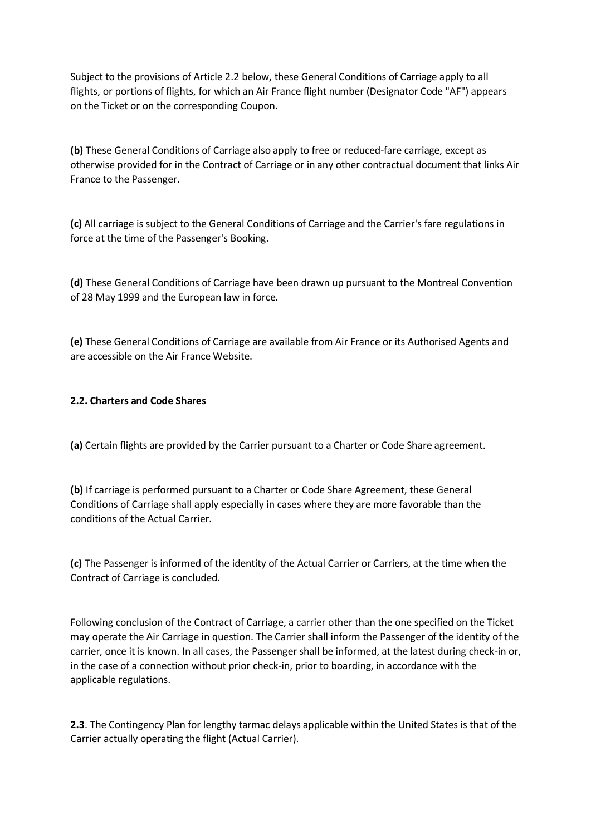Subject to the provisions of Article 2.2 below, these General Conditions of Carriage apply to all flights, or portions of flights, for which an Air France flight number (Designator Code "AF") appears on the Ticket or on the corresponding Coupon.

**(b)** These General Conditions of Carriage also apply to free or reduced-fare carriage, except as otherwise provided for in the Contract of Carriage or in any other contractual document that links Air France to the Passenger.

**(c)** All carriage is subject to the General Conditions of Carriage and the Carrier's fare regulations in force at the time of the Passenger's Booking.

**(d)** These General Conditions of Carriage have been drawn up pursuant to the Montreal Convention of 28 May 1999 and the European law in force.

**(e)** These General Conditions of Carriage are available from Air France or its Authorised Agents and are accessible on the Air France Website.

# **2.2. Charters and Code Shares**

**(a)** Certain flights are provided by the Carrier pursuant to a Charter or Code Share agreement.

**(b)** If carriage is performed pursuant to a Charter or Code Share Agreement, these General Conditions of Carriage shall apply especially in cases where they are more favorable than the conditions of the Actual Carrier.

**(c)** The Passenger is informed of the identity of the Actual Carrier or Carriers, at the time when the Contract of Carriage is concluded.

Following conclusion of the Contract of Carriage, a carrier other than the one specified on the Ticket may operate the Air Carriage in question. The Carrier shall inform the Passenger of the identity of the carrier, once it is known. In all cases, the Passenger shall be informed, at the latest during check-in or, in the case of a connection without prior check-in, prior to boarding, in accordance with the applicable regulations.

**2.3**. The Contingency Plan for lengthy tarmac delays applicable within the United States is that of the Carrier actually operating the flight (Actual Carrier).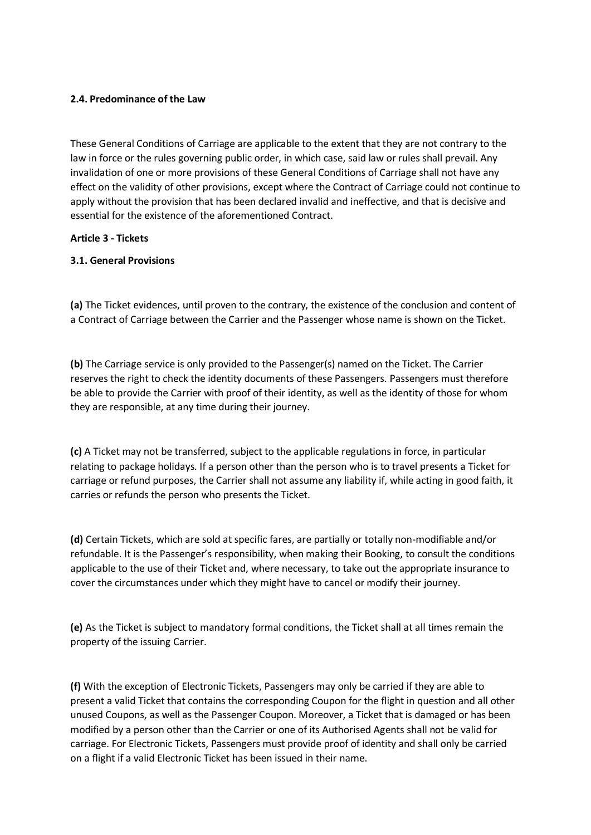### **2.4. Predominance of the Law**

These General Conditions of Carriage are applicable to the extent that they are not contrary to the law in force or the rules governing public order, in which case, said law or rules shall prevail. Any invalidation of one or more provisions of these General Conditions of Carriage shall not have any effect on the validity of other provisions, except where the Contract of Carriage could not continue to apply without the provision that has been declared invalid and ineffective, and that is decisive and essential for the existence of the aforementioned Contract.

### **Article 3 - Tickets**

### **3.1. General Provisions**

**(a)** The Ticket evidences, until proven to the contrary, the existence of the conclusion and content of a Contract of Carriage between the Carrier and the Passenger whose name is shown on the Ticket.

**(b)** The Carriage service is only provided to the Passenger(s) named on the Ticket. The Carrier reserves the right to check the identity documents of these Passengers. Passengers must therefore be able to provide the Carrier with proof of their identity, as well as the identity of those for whom they are responsible, at any time during their journey.

**(c)** A Ticket may not be transferred, subject to the applicable regulations in force, in particular relating to package holidays. If a person other than the person who is to travel presents a Ticket for carriage or refund purposes, the Carrier shall not assume any liability if, while acting in good faith, it carries or refunds the person who presents the Ticket.

**(d)** Certain Tickets, which are sold at specific fares, are partially or totally non-modifiable and/or refundable. It is the Passenger's responsibility, when making their Booking, to consult the conditions applicable to the use of their Ticket and, where necessary, to take out the appropriate insurance to cover the circumstances under which they might have to cancel or modify their journey.

**(e)** As the Ticket is subject to mandatory formal conditions, the Ticket shall at all times remain the property of the issuing Carrier.

**(f)** With the exception of Electronic Tickets, Passengers may only be carried if they are able to present a valid Ticket that contains the corresponding Coupon for the flight in question and all other unused Coupons, as well as the Passenger Coupon. Moreover, a Ticket that is damaged or has been modified by a person other than the Carrier or one of its Authorised Agents shall not be valid for carriage. For Electronic Tickets, Passengers must provide proof of identity and shall only be carried on a flight if a valid Electronic Ticket has been issued in their name.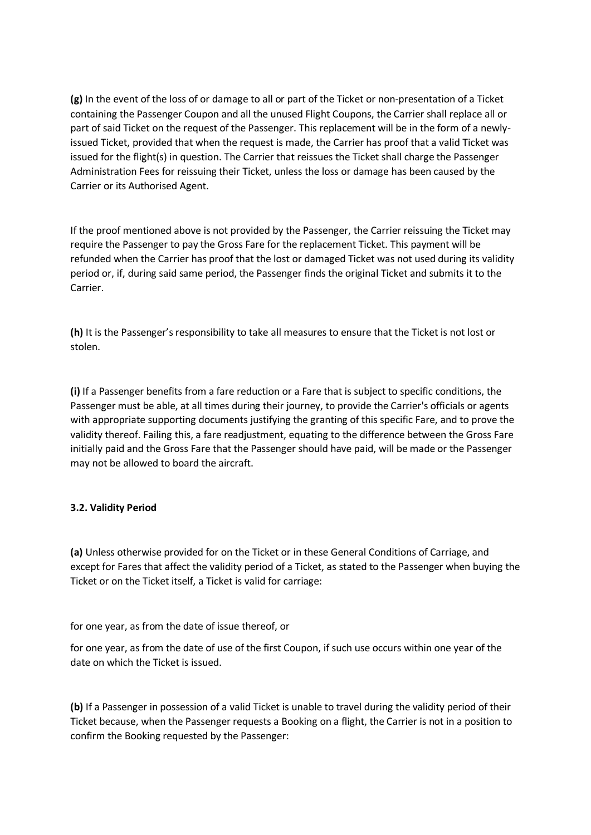**(g)** In the event of the loss of or damage to all or part of the Ticket or non-presentation of a Ticket containing the Passenger Coupon and all the unused Flight Coupons, the Carrier shall replace all or part of said Ticket on the request of the Passenger. This replacement will be in the form of a newlyissued Ticket, provided that when the request is made, the Carrier has proof that a valid Ticket was issued for the flight(s) in question. The Carrier that reissues the Ticket shall charge the Passenger Administration Fees for reissuing their Ticket, unless the loss or damage has been caused by the Carrier or its Authorised Agent.

If the proof mentioned above is not provided by the Passenger, the Carrier reissuing the Ticket may require the Passenger to pay the Gross Fare for the replacement Ticket. This payment will be refunded when the Carrier has proof that the lost or damaged Ticket was not used during its validity period or, if, during said same period, the Passenger finds the original Ticket and submits it to the Carrier.

**(h)** It is the Passenger's responsibility to take all measures to ensure that the Ticket is not lost or stolen.

**(i)** If a Passenger benefits from a fare reduction or a Fare that is subject to specific conditions, the Passenger must be able, at all times during their journey, to provide the Carrier's officials or agents with appropriate supporting documents justifying the granting of this specific Fare, and to prove the validity thereof. Failing this, a fare readjustment, equating to the difference between the Gross Fare initially paid and the Gross Fare that the Passenger should have paid, will be made or the Passenger may not be allowed to board the aircraft.

# **3.2. Validity Period**

**(a)** Unless otherwise provided for on the Ticket or in these General Conditions of Carriage, and except for Fares that affect the validity period of a Ticket, as stated to the Passenger when buying the Ticket or on the Ticket itself, a Ticket is valid for carriage:

for one year, as from the date of issue thereof, or

for one year, as from the date of use of the first Coupon, if such use occurs within one year of the date on which the Ticket is issued.

**(b)** If a Passenger in possession of a valid Ticket is unable to travel during the validity period of their Ticket because, when the Passenger requests a Booking on a flight, the Carrier is not in a position to confirm the Booking requested by the Passenger: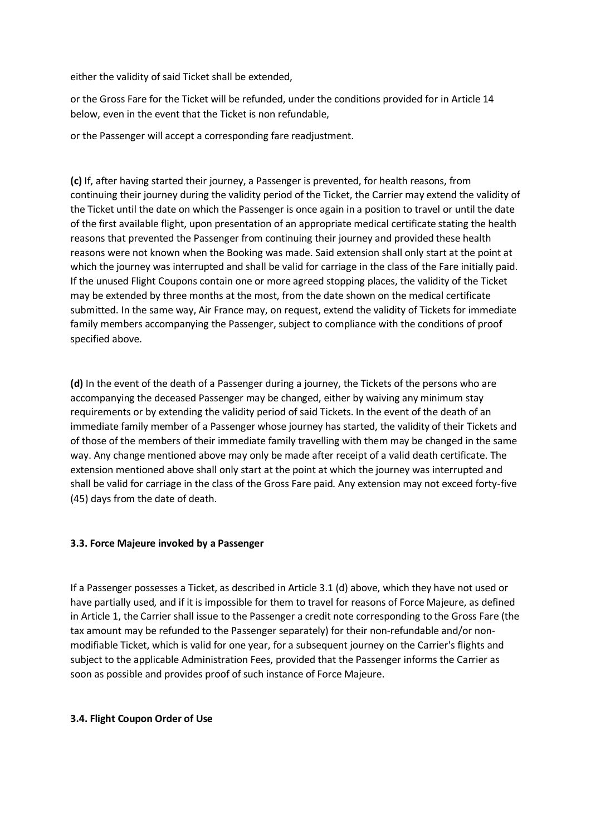either the validity of said Ticket shall be extended,

or the Gross Fare for the Ticket will be refunded, under the conditions provided for in Article 14 below, even in the event that the Ticket is non refundable,

or the Passenger will accept a corresponding fare readjustment.

**(c)** If, after having started their journey, a Passenger is prevented, for health reasons, from continuing their journey during the validity period of the Ticket, the Carrier may extend the validity of the Ticket until the date on which the Passenger is once again in a position to travel or until the date of the first available flight, upon presentation of an appropriate medical certificate stating the health reasons that prevented the Passenger from continuing their journey and provided these health reasons were not known when the Booking was made. Said extension shall only start at the point at which the journey was interrupted and shall be valid for carriage in the class of the Fare initially paid. If the unused Flight Coupons contain one or more agreed stopping places, the validity of the Ticket may be extended by three months at the most, from the date shown on the medical certificate submitted. In the same way, Air France may, on request, extend the validity of Tickets for immediate family members accompanying the Passenger, subject to compliance with the conditions of proof specified above.

**(d)** In the event of the death of a Passenger during a journey, the Tickets of the persons who are accompanying the deceased Passenger may be changed, either by waiving any minimum stay requirements or by extending the validity period of said Tickets. In the event of the death of an immediate family member of a Passenger whose journey has started, the validity of their Tickets and of those of the members of their immediate family travelling with them may be changed in the same way. Any change mentioned above may only be made after receipt of a valid death certificate. The extension mentioned above shall only start at the point at which the journey was interrupted and shall be valid for carriage in the class of the Gross Fare paid. Any extension may not exceed forty-five (45) days from the date of death.

#### **3.3. Force Majeure invoked by a Passenger**

If a Passenger possesses a Ticket, as described in Article 3.1 (d) above, which they have not used or have partially used, and if it is impossible for them to travel for reasons of Force Majeure, as defined in Article 1, the Carrier shall issue to the Passenger a credit note corresponding to the Gross Fare (the tax amount may be refunded to the Passenger separately) for their non-refundable and/or nonmodifiable Ticket, which is valid for one year, for a subsequent journey on the Carrier's flights and subject to the applicable Administration Fees, provided that the Passenger informs the Carrier as soon as possible and provides proof of such instance of Force Majeure.

#### **3.4. Flight Coupon Order of Use**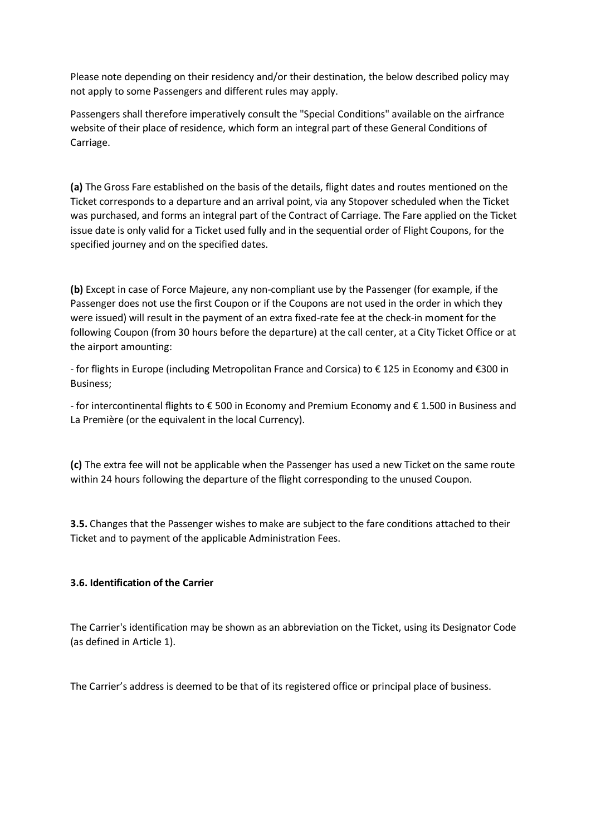Please note depending on their residency and/or their destination, the below described policy may not apply to some Passengers and different rules may apply.

Passengers shall therefore imperatively consult the "Special Conditions" available on the airfrance website of their place of residence, which form an integral part of these General Conditions of Carriage.

**(a)** The Gross Fare established on the basis of the details, flight dates and routes mentioned on the Ticket corresponds to a departure and an arrival point, via any Stopover scheduled when the Ticket was purchased, and forms an integral part of the Contract of Carriage. The Fare applied on the Ticket issue date is only valid for a Ticket used fully and in the sequential order of Flight Coupons, for the specified journey and on the specified dates.

**(b)** Except in case of Force Majeure, any non-compliant use by the Passenger (for example, if the Passenger does not use the first Coupon or if the Coupons are not used in the order in which they were issued) will result in the payment of an extra fixed-rate fee at the check-in moment for the following Coupon (from 30 hours before the departure) at the call center, at a City Ticket Office or at the airport amounting:

- for flights in Europe (including Metropolitan France and Corsica) to € 125 in Economy and €300 in Business;

- for intercontinental flights to € 500 in Economy and Premium Economy and € 1.500 in Business and La Première (or the equivalent in the local Currency).

**(c)** The extra fee will not be applicable when the Passenger has used a new Ticket on the same route within 24 hours following the departure of the flight corresponding to the unused Coupon.

**3.5.** Changes that the Passenger wishes to make are subject to the fare conditions attached to their Ticket and to payment of the applicable Administration Fees.

# **3.6. Identification of the Carrier**

The Carrier's identification may be shown as an abbreviation on the Ticket, using its Designator Code (as defined in Article 1).

The Carrier's address is deemed to be that of its registered office or principal place of business.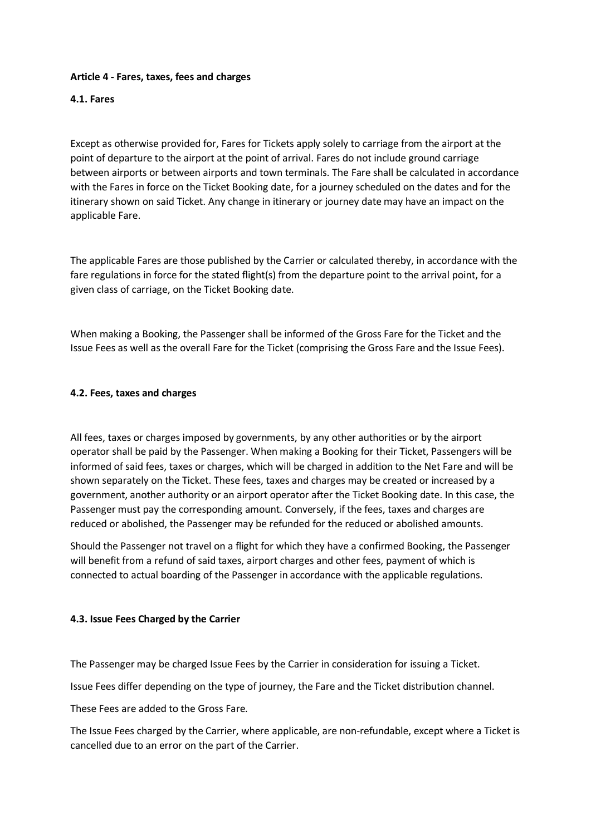### **Article 4 - Fares, taxes, fees and charges**

### **4.1. Fares**

Except as otherwise provided for, Fares for Tickets apply solely to carriage from the airport at the point of departure to the airport at the point of arrival. Fares do not include ground carriage between airports or between airports and town terminals. The Fare shall be calculated in accordance with the Fares in force on the Ticket Booking date, for a journey scheduled on the dates and for the itinerary shown on said Ticket. Any change in itinerary or journey date may have an impact on the applicable Fare.

The applicable Fares are those published by the Carrier or calculated thereby, in accordance with the fare regulations in force for the stated flight(s) from the departure point to the arrival point, for a given class of carriage, on the Ticket Booking date.

When making a Booking, the Passenger shall be informed of the Gross Fare for the Ticket and the Issue Fees as well as the overall Fare for the Ticket (comprising the Gross Fare and the Issue Fees).

### **4.2. Fees, taxes and charges**

All fees, taxes or charges imposed by governments, by any other authorities or by the airport operator shall be paid by the Passenger. When making a Booking for their Ticket, Passengers will be informed of said fees, taxes or charges, which will be charged in addition to the Net Fare and will be shown separately on the Ticket. These fees, taxes and charges may be created or increased by a government, another authority or an airport operator after the Ticket Booking date. In this case, the Passenger must pay the corresponding amount. Conversely, if the fees, taxes and charges are reduced or abolished, the Passenger may be refunded for the reduced or abolished amounts.

Should the Passenger not travel on a flight for which they have a confirmed Booking, the Passenger will benefit from a refund of said taxes, airport charges and other fees, payment of which is connected to actual boarding of the Passenger in accordance with the applicable regulations.

#### **4.3. Issue Fees Charged by the Carrier**

The Passenger may be charged Issue Fees by the Carrier in consideration for issuing a Ticket.

Issue Fees differ depending on the type of journey, the Fare and the Ticket distribution channel.

These Fees are added to the Gross Fare.

The Issue Fees charged by the Carrier, where applicable, are non-refundable, except where a Ticket is cancelled due to an error on the part of the Carrier.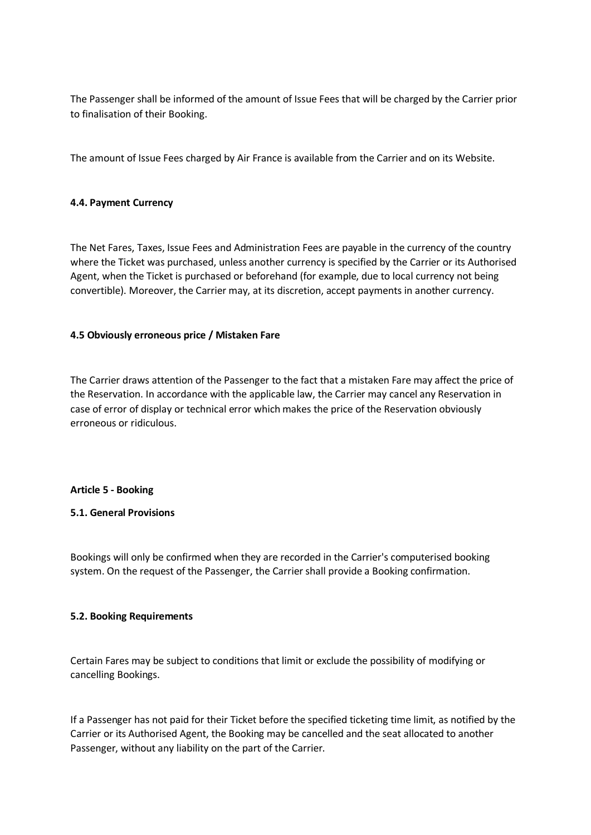The Passenger shall be informed of the amount of Issue Fees that will be charged by the Carrier prior to finalisation of their Booking.

The amount of Issue Fees charged by Air France is available from the Carrier and on its Website.

### **4.4. Payment Currency**

The Net Fares, Taxes, Issue Fees and Administration Fees are payable in the currency of the country where the Ticket was purchased, unless another currency is specified by the Carrier or its Authorised Agent, when the Ticket is purchased or beforehand (for example, due to local currency not being convertible). Moreover, the Carrier may, at its discretion, accept payments in another currency.

### **4.5 Obviously erroneous price / Mistaken Fare**

The Carrier draws attention of the Passenger to the fact that a mistaken Fare may affect the price of the Reservation. In accordance with the applicable law, the Carrier may cancel any Reservation in case of error of display or technical error which makes the price of the Reservation obviously erroneous or ridiculous.

#### **Article 5 - Booking**

# **5.1. General Provisions**

Bookings will only be confirmed when they are recorded in the Carrier's computerised booking system. On the request of the Passenger, the Carrier shall provide a Booking confirmation.

# **5.2. Booking Requirements**

Certain Fares may be subject to conditions that limit or exclude the possibility of modifying or cancelling Bookings.

If a Passenger has not paid for their Ticket before the specified ticketing time limit, as notified by the Carrier or its Authorised Agent, the Booking may be cancelled and the seat allocated to another Passenger, without any liability on the part of the Carrier.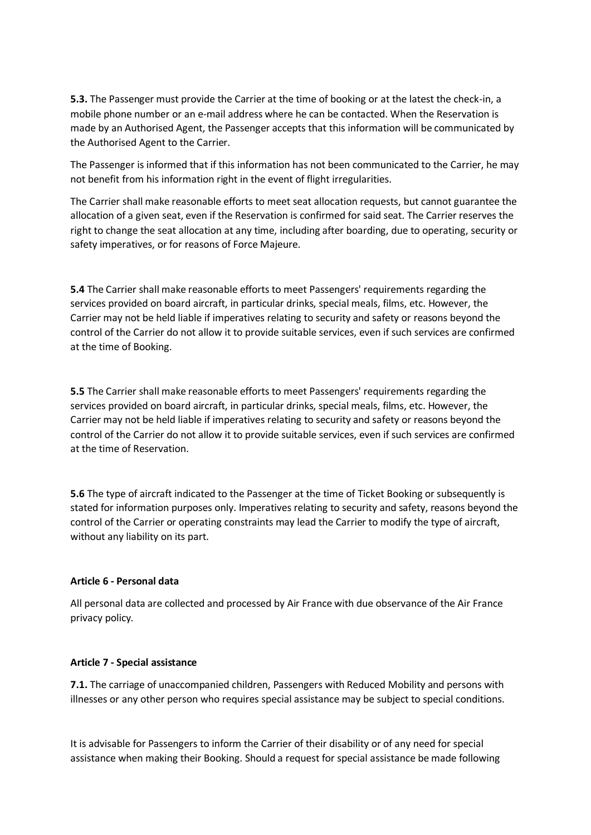**5.3.** The Passenger must provide the Carrier at the time of booking or at the latest the check-in, a mobile phone number or an e-mail address where he can be contacted. When the Reservation is made by an Authorised Agent, the Passenger accepts that this information will be communicated by the Authorised Agent to the Carrier.

The Passenger is informed that if this information has not been communicated to the Carrier, he may not benefit from his information right in the event of flight irregularities.

The Carrier shall make reasonable efforts to meet seat allocation requests, but cannot guarantee the allocation of a given seat, even if the Reservation is confirmed for said seat. The Carrier reserves the right to change the seat allocation at any time, including after boarding, due to operating, security or safety imperatives, or for reasons of Force Majeure.

**5.4** The Carrier shall make reasonable efforts to meet Passengers' requirements regarding the services provided on board aircraft, in particular drinks, special meals, films, etc. However, the Carrier may not be held liable if imperatives relating to security and safety or reasons beyond the control of the Carrier do not allow it to provide suitable services, even if such services are confirmed at the time of Booking.

**5.5** The Carrier shall make reasonable efforts to meet Passengers' requirements regarding the services provided on board aircraft, in particular drinks, special meals, films, etc. However, the Carrier may not be held liable if imperatives relating to security and safety or reasons beyond the control of the Carrier do not allow it to provide suitable services, even if such services are confirmed at the time of Reservation.

**5.6** The type of aircraft indicated to the Passenger at the time of Ticket Booking or subsequently is stated for information purposes only. Imperatives relating to security and safety, reasons beyond the control of the Carrier or operating constraints may lead the Carrier to modify the type of aircraft, without any liability on its part.

#### **Article 6 - Personal data**

All personal data are collected and processed by Air France with due observance of the Air France privacy policy.

#### **Article 7 - Special assistance**

**7.1.** The carriage of unaccompanied children, Passengers with Reduced Mobility and persons with illnesses or any other person who requires special assistance may be subject to special conditions.

It is advisable for Passengers to inform the Carrier of their disability or of any need for special assistance when making their Booking. Should a request for special assistance be made following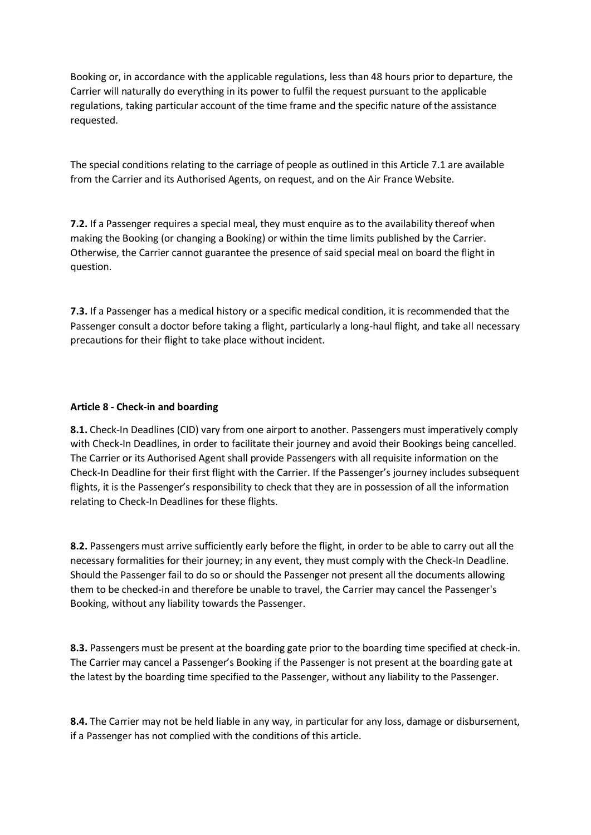Booking or, in accordance with the applicable regulations, less than 48 hours prior to departure, the Carrier will naturally do everything in its power to fulfil the request pursuant to the applicable regulations, taking particular account of the time frame and the specific nature of the assistance requested.

The special conditions relating to the carriage of people as outlined in this Article 7.1 are available from the Carrier and its Authorised Agents, on request, and on the Air France Website.

**7.2.** If a Passenger requires a special meal, they must enquire as to the availability thereof when making the Booking (or changing a Booking) or within the time limits published by the Carrier. Otherwise, the Carrier cannot guarantee the presence of said special meal on board the flight in question.

**7.3.** If a Passenger has a medical history or a specific medical condition, it is recommended that the Passenger consult a doctor before taking a flight, particularly a long-haul flight, and take all necessary precautions for their flight to take place without incident.

### **Article 8 - Check-in and boarding**

**8.1.** Check-In Deadlines (CID) vary from one airport to another. Passengers must imperatively comply with Check-In Deadlines, in order to facilitate their journey and avoid their Bookings being cancelled. The Carrier or its Authorised Agent shall provide Passengers with all requisite information on the Check-In Deadline for their first flight with the Carrier. If the Passenger's journey includes subsequent flights, it is the Passenger's responsibility to check that they are in possession of all the information relating to Check-In Deadlines for these flights.

**8.2.** Passengers must arrive sufficiently early before the flight, in order to be able to carry out all the necessary formalities for their journey; in any event, they must comply with the Check-In Deadline. Should the Passenger fail to do so or should the Passenger not present all the documents allowing them to be checked-in and therefore be unable to travel, the Carrier may cancel the Passenger's Booking, without any liability towards the Passenger.

**8.3.** Passengers must be present at the boarding gate prior to the boarding time specified at check-in. The Carrier may cancel a Passenger's Booking if the Passenger is not present at the boarding gate at the latest by the boarding time specified to the Passenger, without any liability to the Passenger.

**8.4.** The Carrier may not be held liable in any way, in particular for any loss, damage or disbursement, if a Passenger has not complied with the conditions of this article.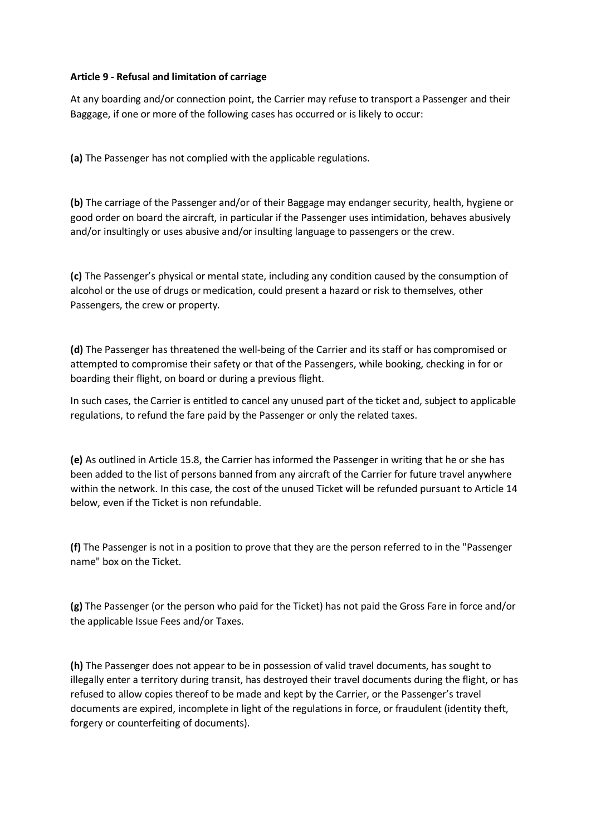### **Article 9 - Refusal and limitation of carriage**

At any boarding and/or connection point, the Carrier may refuse to transport a Passenger and their Baggage, if one or more of the following cases has occurred or is likely to occur:

**(a)** The Passenger has not complied with the applicable regulations.

**(b)** The carriage of the Passenger and/or of their Baggage may endanger security, health, hygiene or good order on board the aircraft, in particular if the Passenger uses intimidation, behaves abusively and/or insultingly or uses abusive and/or insulting language to passengers or the crew.

**(c)** The Passenger's physical or mental state, including any condition caused by the consumption of alcohol or the use of drugs or medication, could present a hazard or risk to themselves, other Passengers, the crew or property.

**(d)** The Passenger has threatened the well-being of the Carrier and its staff or has compromised or attempted to compromise their safety or that of the Passengers, while booking, checking in for or boarding their flight, on board or during a previous flight.

In such cases, the Carrier is entitled to cancel any unused part of the ticket and, subject to applicable regulations, to refund the fare paid by the Passenger or only the related taxes.

**(e)** As outlined in Article 15.8, the Carrier has informed the Passenger in writing that he or she has been added to the list of persons banned from any aircraft of the Carrier for future travel anywhere within the network. In this case, the cost of the unused Ticket will be refunded pursuant to Article 14 below, even if the Ticket is non refundable.

**(f)** The Passenger is not in a position to prove that they are the person referred to in the "Passenger name" box on the Ticket.

**(g)** The Passenger (or the person who paid for the Ticket) has not paid the Gross Fare in force and/or the applicable Issue Fees and/or Taxes.

**(h)** The Passenger does not appear to be in possession of valid travel documents, has sought to illegally enter a territory during transit, has destroyed their travel documents during the flight, or has refused to allow copies thereof to be made and kept by the Carrier, or the Passenger's travel documents are expired, incomplete in light of the regulations in force, or fraudulent (identity theft, forgery or counterfeiting of documents).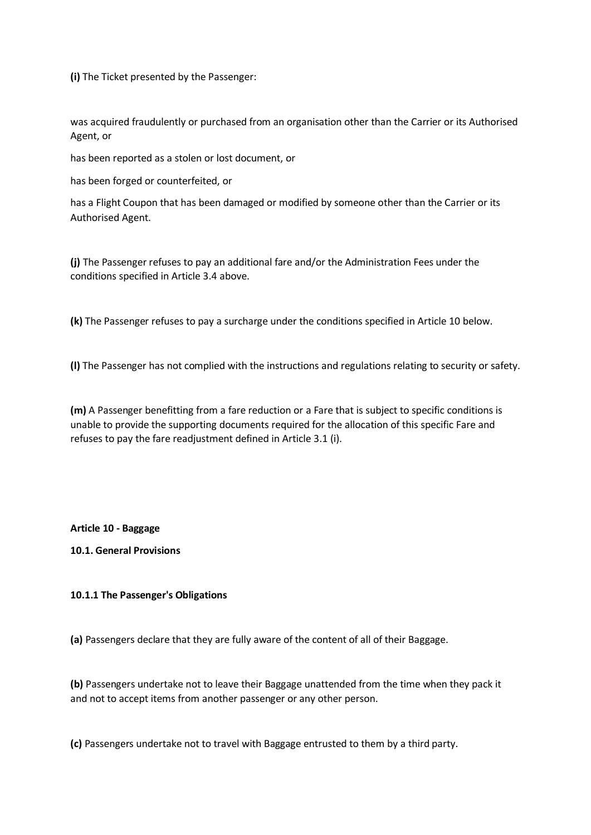**(i)** The Ticket presented by the Passenger:

was acquired fraudulently or purchased from an organisation other than the Carrier or its Authorised Agent, or

has been reported as a stolen or lost document, or

has been forged or counterfeited, or

has a Flight Coupon that has been damaged or modified by someone other than the Carrier or its Authorised Agent.

**(j)** The Passenger refuses to pay an additional fare and/or the Administration Fees under the conditions specified in Article 3.4 above.

**(k)** The Passenger refuses to pay a surcharge under the conditions specified in Article 10 below.

**(l)** The Passenger has not complied with the instructions and regulations relating to security or safety.

**(m)** A Passenger benefitting from a fare reduction or a Fare that is subject to specific conditions is unable to provide the supporting documents required for the allocation of this specific Fare and refuses to pay the fare readjustment defined in Article 3.1 (i).

**Article 10 - Baggage**

**10.1. General Provisions**

#### **10.1.1 The Passenger's Obligations**

**(a)** Passengers declare that they are fully aware of the content of all of their Baggage.

**(b)** Passengers undertake not to leave their Baggage unattended from the time when they pack it and not to accept items from another passenger or any other person.

**(c)** Passengers undertake not to travel with Baggage entrusted to them by a third party.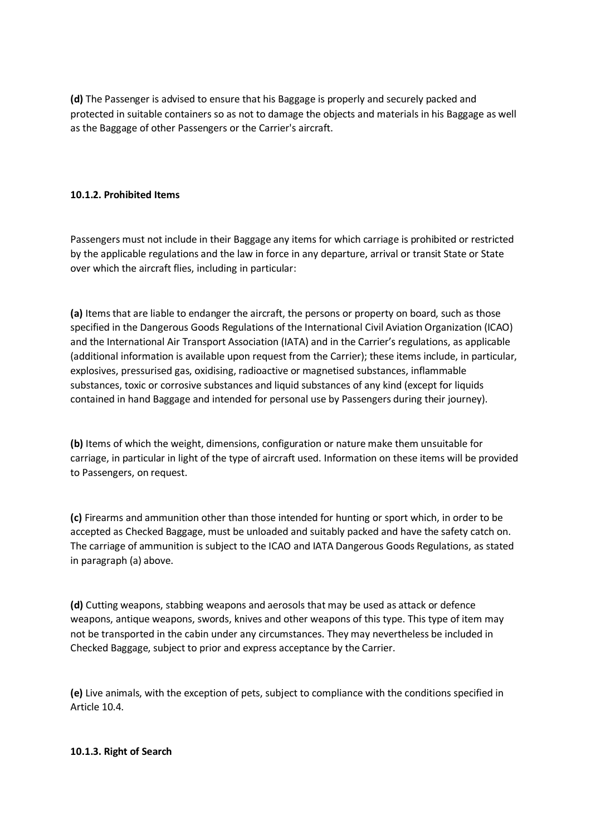**(d)** The Passenger is advised to ensure that his Baggage is properly and securely packed and protected in suitable containers so as not to damage the objects and materials in his Baggage as well as the Baggage of other Passengers or the Carrier's aircraft.

# **10.1.2. Prohibited Items**

Passengers must not include in their Baggage any items for which carriage is prohibited or restricted by the applicable regulations and the law in force in any departure, arrival or transit State or State over which the aircraft flies, including in particular:

**(a)** Items that are liable to endanger the aircraft, the persons or property on board, such as those specified in the Dangerous Goods Regulations of the International Civil Aviation Organization (ICAO) and the International Air Transport Association (IATA) and in the Carrier's regulations, as applicable (additional information is available upon request from the Carrier); these items include, in particular, explosives, pressurised gas, oxidising, radioactive or magnetised substances, inflammable substances, toxic or corrosive substances and liquid substances of any kind (except for liquids contained in hand Baggage and intended for personal use by Passengers during their journey).

**(b)** Items of which the weight, dimensions, configuration or nature make them unsuitable for carriage, in particular in light of the type of aircraft used. Information on these items will be provided to Passengers, on request.

**(c)** Firearms and ammunition other than those intended for hunting or sport which, in order to be accepted as Checked Baggage, must be unloaded and suitably packed and have the safety catch on. The carriage of ammunition is subject to the ICAO and IATA Dangerous Goods Regulations, as stated in paragraph (a) above.

**(d)** Cutting weapons, stabbing weapons and aerosols that may be used as attack or defence weapons, antique weapons, swords, knives and other weapons of this type. This type of item may not be transported in the cabin under any circumstances. They may nevertheless be included in Checked Baggage, subject to prior and express acceptance by the Carrier.

**(e)** Live animals, with the exception of pets, subject to compliance with the conditions specified in Article 10.4.

#### **10.1.3. Right of Search**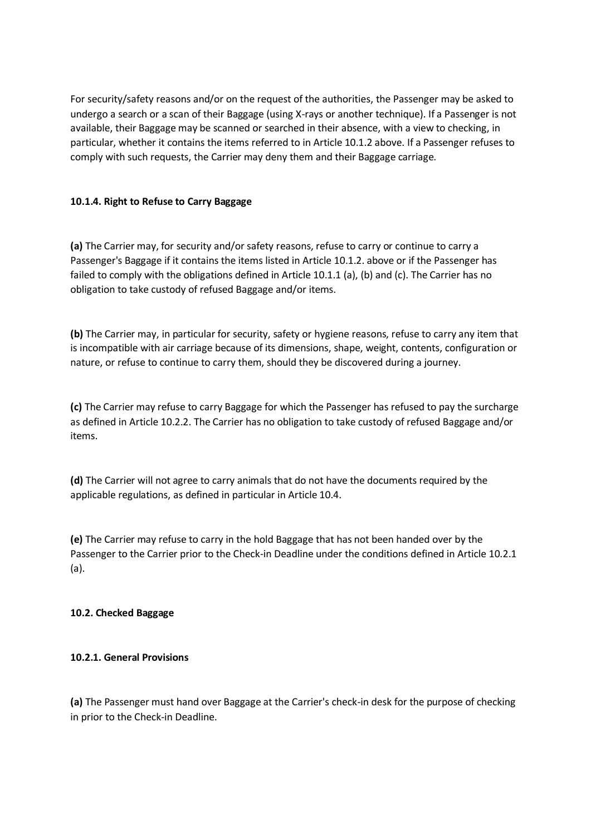For security/safety reasons and/or on the request of the authorities, the Passenger may be asked to undergo a search or a scan of their Baggage (using X-rays or another technique). If a Passenger is not available, their Baggage may be scanned or searched in their absence, with a view to checking, in particular, whether it contains the items referred to in Article 10.1.2 above. If a Passenger refuses to comply with such requests, the Carrier may deny them and their Baggage carriage.

# **10.1.4. Right to Refuse to Carry Baggage**

**(a)** The Carrier may, for security and/or safety reasons, refuse to carry or continue to carry a Passenger's Baggage if it contains the items listed in Article 10.1.2. above or if the Passenger has failed to comply with the obligations defined in Article 10.1.1 (a), (b) and (c). The Carrier has no obligation to take custody of refused Baggage and/or items.

**(b)** The Carrier may, in particular for security, safety or hygiene reasons, refuse to carry any item that is incompatible with air carriage because of its dimensions, shape, weight, contents, configuration or nature, or refuse to continue to carry them, should they be discovered during a journey.

**(c)** The Carrier may refuse to carry Baggage for which the Passenger has refused to pay the surcharge as defined in Article 10.2.2. The Carrier has no obligation to take custody of refused Baggage and/or items.

**(d)** The Carrier will not agree to carry animals that do not have the documents required by the applicable regulations, as defined in particular in Article 10.4.

**(e)** The Carrier may refuse to carry in the hold Baggage that has not been handed over by the Passenger to the Carrier prior to the Check-in Deadline under the conditions defined in Article 10.2.1 (a).

#### **10.2. Checked Baggage**

#### **10.2.1. General Provisions**

**(a)** The Passenger must hand over Baggage at the Carrier's check-in desk for the purpose of checking in prior to the Check-in Deadline.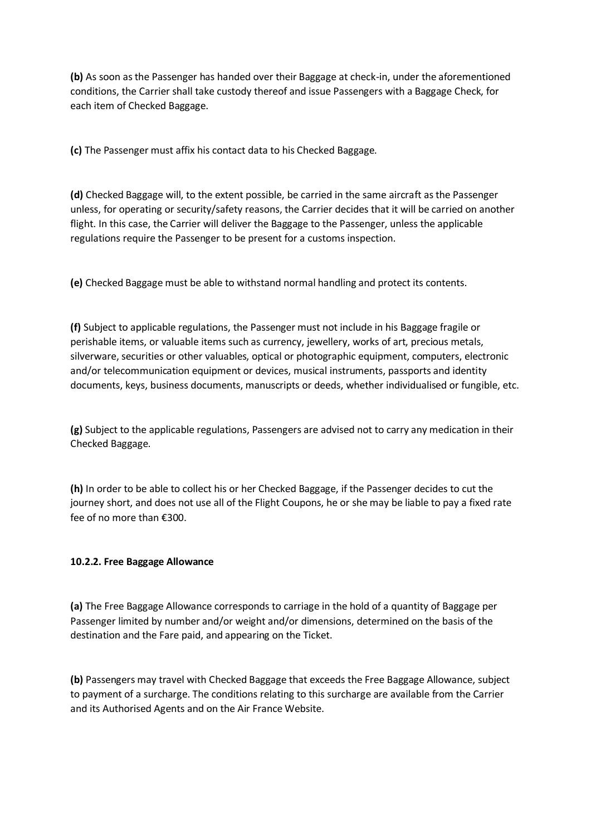**(b)** As soon as the Passenger has handed over their Baggage at check-in, under the aforementioned conditions, the Carrier shall take custody thereof and issue Passengers with a Baggage Check, for each item of Checked Baggage.

**(c)** The Passenger must affix his contact data to his Checked Baggage.

**(d)** Checked Baggage will, to the extent possible, be carried in the same aircraft as the Passenger unless, for operating or security/safety reasons, the Carrier decides that it will be carried on another flight. In this case, the Carrier will deliver the Baggage to the Passenger, unless the applicable regulations require the Passenger to be present for a customs inspection.

**(e)** Checked Baggage must be able to withstand normal handling and protect its contents.

**(f)** Subject to applicable regulations, the Passenger must not include in his Baggage fragile or perishable items, or valuable items such as currency, jewellery, works of art, precious metals, silverware, securities or other valuables, optical or photographic equipment, computers, electronic and/or telecommunication equipment or devices, musical instruments, passports and identity documents, keys, business documents, manuscripts or deeds, whether individualised or fungible, etc.

**(g)** Subject to the applicable regulations, Passengers are advised not to carry any medication in their Checked Baggage.

**(h)** In order to be able to collect his or her Checked Baggage, if the Passenger decides to cut the journey short, and does not use all of the Flight Coupons, he or she may be liable to pay a fixed rate fee of no more than €300.

# **10.2.2. Free Baggage Allowance**

**(a)** The Free Baggage Allowance corresponds to carriage in the hold of a quantity of Baggage per Passenger limited by number and/or weight and/or dimensions, determined on the basis of the destination and the Fare paid, and appearing on the Ticket.

**(b)** Passengers may travel with Checked Baggage that exceeds the Free Baggage Allowance, subject to payment of a surcharge. The conditions relating to this surcharge are available from the Carrier and its Authorised Agents and on the Air France Website.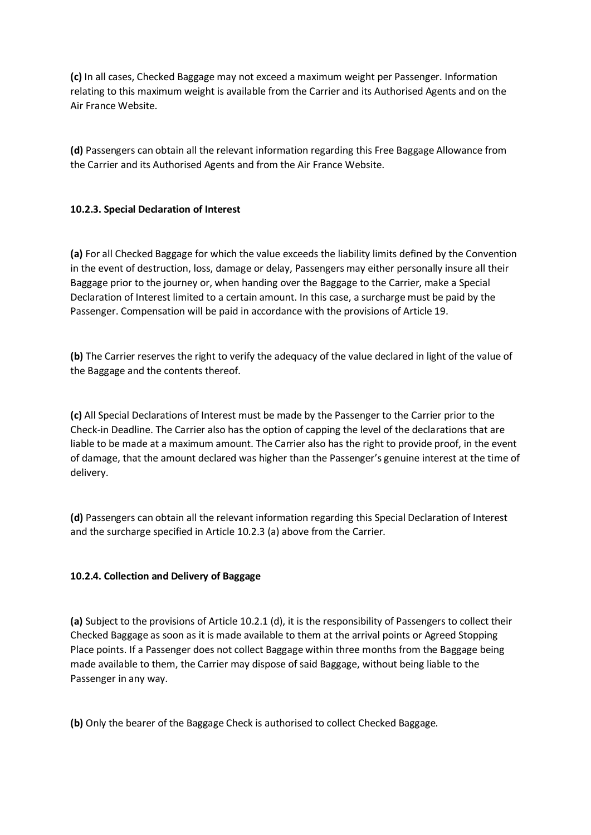**(c)** In all cases, Checked Baggage may not exceed a maximum weight per Passenger. Information relating to this maximum weight is available from the Carrier and its Authorised Agents and on the Air France Website.

**(d)** Passengers can obtain all the relevant information regarding this Free Baggage Allowance from the Carrier and its Authorised Agents and from the Air France Website.

# **10.2.3. Special Declaration of Interest**

**(a)** For all Checked Baggage for which the value exceeds the liability limits defined by the Convention in the event of destruction, loss, damage or delay, Passengers may either personally insure all their Baggage prior to the journey or, when handing over the Baggage to the Carrier, make a Special Declaration of Interest limited to a certain amount. In this case, a surcharge must be paid by the Passenger. Compensation will be paid in accordance with the provisions of Article 19.

**(b)** The Carrier reserves the right to verify the adequacy of the value declared in light of the value of the Baggage and the contents thereof.

**(c)** All Special Declarations of Interest must be made by the Passenger to the Carrier prior to the Check-in Deadline. The Carrier also has the option of capping the level of the declarations that are liable to be made at a maximum amount. The Carrier also has the right to provide proof, in the event of damage, that the amount declared was higher than the Passenger's genuine interest at the time of delivery.

**(d)** Passengers can obtain all the relevant information regarding this Special Declaration of Interest and the surcharge specified in Article 10.2.3 (a) above from the Carrier.

# **10.2.4. Collection and Delivery of Baggage**

**(a)** Subject to the provisions of Article 10.2.1 (d), it is the responsibility of Passengers to collect their Checked Baggage as soon as it is made available to them at the arrival points or Agreed Stopping Place points. If a Passenger does not collect Baggage within three months from the Baggage being made available to them, the Carrier may dispose of said Baggage, without being liable to the Passenger in any way.

**(b)** Only the bearer of the Baggage Check is authorised to collect Checked Baggage.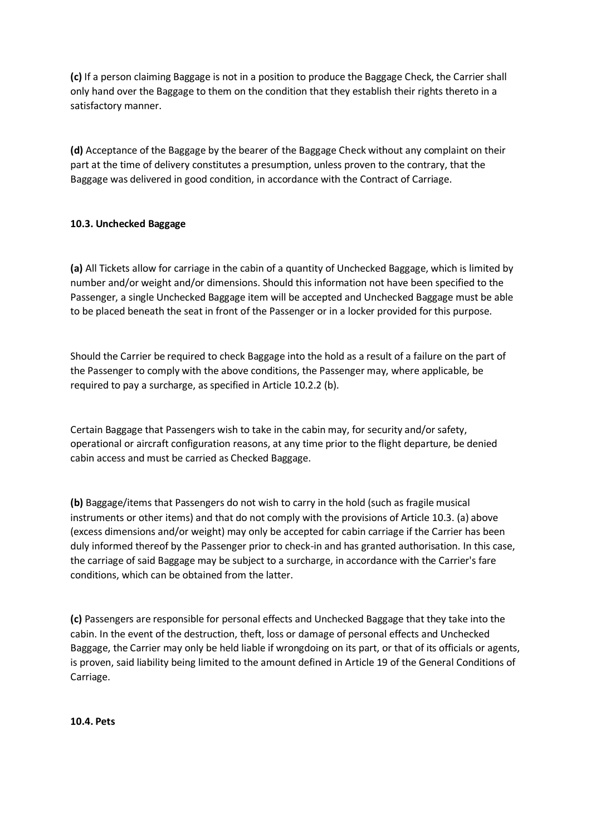**(c)** If a person claiming Baggage is not in a position to produce the Baggage Check, the Carrier shall only hand over the Baggage to them on the condition that they establish their rights thereto in a satisfactory manner.

**(d)** Acceptance of the Baggage by the bearer of the Baggage Check without any complaint on their part at the time of delivery constitutes a presumption, unless proven to the contrary, that the Baggage was delivered in good condition, in accordance with the Contract of Carriage.

# **10.3. Unchecked Baggage**

**(a)** All Tickets allow for carriage in the cabin of a quantity of Unchecked Baggage, which is limited by number and/or weight and/or dimensions. Should this information not have been specified to the Passenger, a single Unchecked Baggage item will be accepted and Unchecked Baggage must be able to be placed beneath the seat in front of the Passenger or in a locker provided for this purpose.

Should the Carrier be required to check Baggage into the hold as a result of a failure on the part of the Passenger to comply with the above conditions, the Passenger may, where applicable, be required to pay a surcharge, as specified in Article 10.2.2 (b).

Certain Baggage that Passengers wish to take in the cabin may, for security and/or safety, operational or aircraft configuration reasons, at any time prior to the flight departure, be denied cabin access and must be carried as Checked Baggage.

**(b)** Baggage/items that Passengers do not wish to carry in the hold (such as fragile musical instruments or other items) and that do not comply with the provisions of Article 10.3. (a) above (excess dimensions and/or weight) may only be accepted for cabin carriage if the Carrier has been duly informed thereof by the Passenger prior to check-in and has granted authorisation. In this case, the carriage of said Baggage may be subject to a surcharge, in accordance with the Carrier's fare conditions, which can be obtained from the latter.

**(c)** Passengers are responsible for personal effects and Unchecked Baggage that they take into the cabin. In the event of the destruction, theft, loss or damage of personal effects and Unchecked Baggage, the Carrier may only be held liable if wrongdoing on its part, or that of its officials or agents, is proven, said liability being limited to the amount defined in Article 19 of the General Conditions of Carriage.

**10.4. Pets**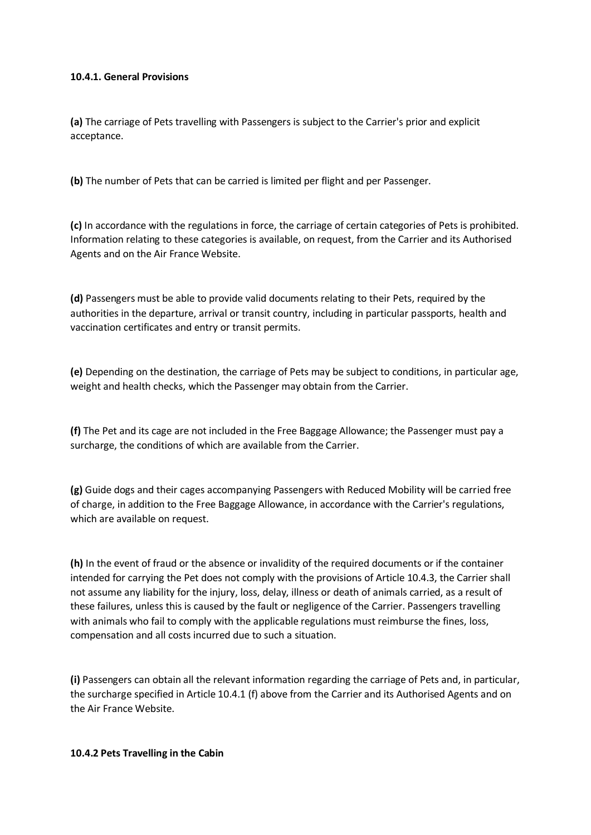### **10.4.1. General Provisions**

**(a)** The carriage of Pets travelling with Passengers is subject to the Carrier's prior and explicit acceptance.

**(b)** The number of Pets that can be carried is limited per flight and per Passenger.

**(c)** In accordance with the regulations in force, the carriage of certain categories of Pets is prohibited. Information relating to these categories is available, on request, from the Carrier and its Authorised Agents and on the Air France Website.

**(d)** Passengers must be able to provide valid documents relating to their Pets, required by the authorities in the departure, arrival or transit country, including in particular passports, health and vaccination certificates and entry or transit permits.

**(e)** Depending on the destination, the carriage of Pets may be subject to conditions, in particular age, weight and health checks, which the Passenger may obtain from the Carrier.

**(f)** The Pet and its cage are not included in the Free Baggage Allowance; the Passenger must pay a surcharge, the conditions of which are available from the Carrier.

**(g)** Guide dogs and their cages accompanying Passengers with Reduced Mobility will be carried free of charge, in addition to the Free Baggage Allowance, in accordance with the Carrier's regulations, which are available on request.

**(h)** In the event of fraud or the absence or invalidity of the required documents or if the container intended for carrying the Pet does not comply with the provisions of Article 10.4.3, the Carrier shall not assume any liability for the injury, loss, delay, illness or death of animals carried, as a result of these failures, unless this is caused by the fault or negligence of the Carrier. Passengers travelling with animals who fail to comply with the applicable regulations must reimburse the fines, loss, compensation and all costs incurred due to such a situation.

**(i)** Passengers can obtain all the relevant information regarding the carriage of Pets and, in particular, the surcharge specified in Article 10.4.1 (f) above from the Carrier and its Authorised Agents and on the Air France Website.

#### **10.4.2 Pets Travelling in the Cabin**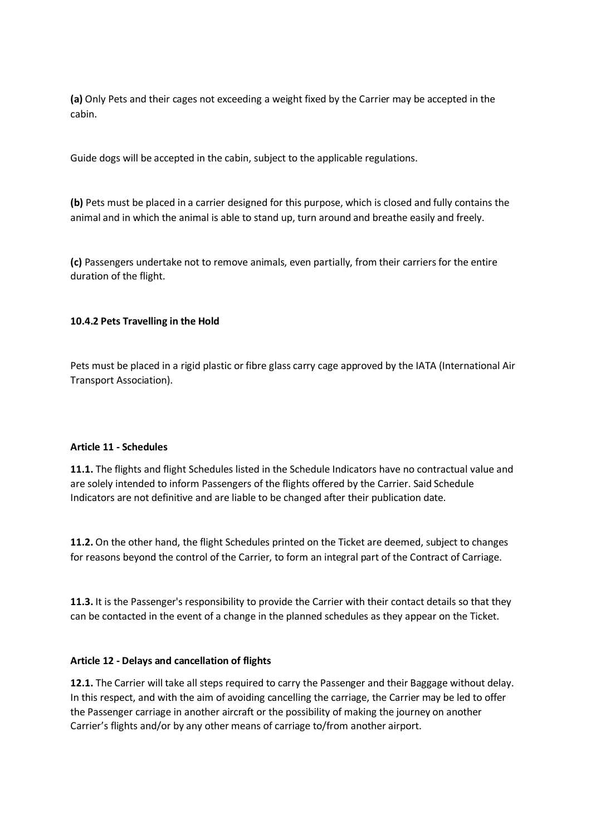**(a)** Only Pets and their cages not exceeding a weight fixed by the Carrier may be accepted in the cabin.

Guide dogs will be accepted in the cabin, subject to the applicable regulations.

**(b)** Pets must be placed in a carrier designed for this purpose, which is closed and fully contains the animal and in which the animal is able to stand up, turn around and breathe easily and freely.

**(c)** Passengers undertake not to remove animals, even partially, from their carriers for the entire duration of the flight.

### **10.4.2 Pets Travelling in the Hold**

Pets must be placed in a rigid plastic or fibre glass carry cage approved by the IATA (International Air Transport Association).

#### **Article 11 - Schedules**

**11.1.** The flights and flight Schedules listed in the Schedule Indicators have no contractual value and are solely intended to inform Passengers of the flights offered by the Carrier. Said Schedule Indicators are not definitive and are liable to be changed after their publication date.

**11.2.** On the other hand, the flight Schedules printed on the Ticket are deemed, subject to changes for reasons beyond the control of the Carrier, to form an integral part of the Contract of Carriage.

**11.3.** It is the Passenger's responsibility to provide the Carrier with their contact details so that they can be contacted in the event of a change in the planned schedules as they appear on the Ticket.

#### **Article 12 - Delays and cancellation of flights**

**12.1.** The Carrier will take all steps required to carry the Passenger and their Baggage without delay. In this respect, and with the aim of avoiding cancelling the carriage, the Carrier may be led to offer the Passenger carriage in another aircraft or the possibility of making the journey on another Carrier's flights and/or by any other means of carriage to/from another airport.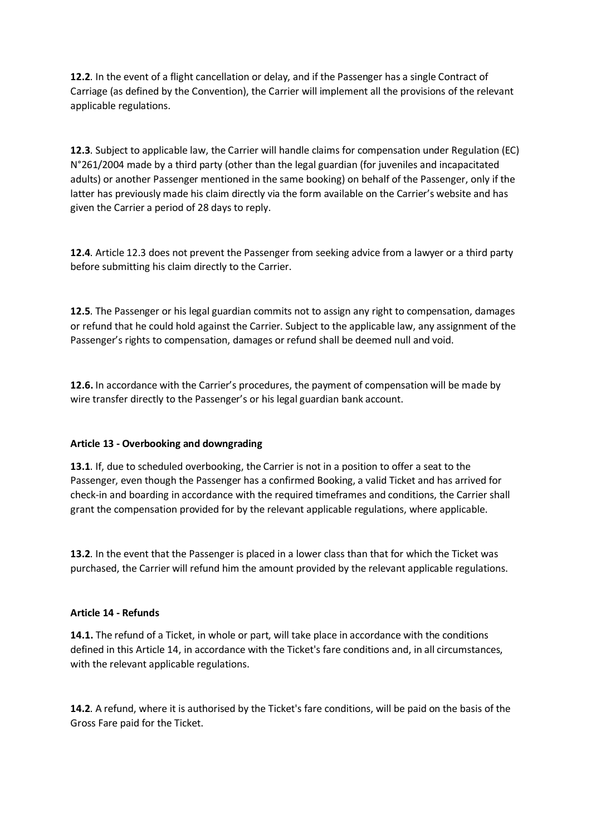**12.2**. In the event of a flight cancellation or delay, and if the Passenger has a single Contract of Carriage (as defined by the Convention), the Carrier will implement all the provisions of the relevant applicable regulations.

**12.3**. Subject to applicable law, the Carrier will handle claims for compensation under Regulation (EC) N°261/2004 made by a third party (other than the legal guardian (for juveniles and incapacitated adults) or another Passenger mentioned in the same booking) on behalf of the Passenger, only if the latter has previously made his claim directly via the form available on the Carrier's website and has given the Carrier a period of 28 days to reply.

**12.4**. Article 12.3 does not prevent the Passenger from seeking advice from a lawyer or a third party before submitting his claim directly to the Carrier.

**12.5**. The Passenger or his legal guardian commits not to assign any right to compensation, damages or refund that he could hold against the Carrier. Subject to the applicable law, any assignment of the Passenger's rights to compensation, damages or refund shall be deemed null and void.

**12.6.** In accordance with the Carrier's procedures, the payment of compensation will be made by wire transfer directly to the Passenger's or his legal guardian bank account.

# **Article 13 - Overbooking and downgrading**

**13.1**. If, due to scheduled overbooking, the Carrier is not in a position to offer a seat to the Passenger, even though the Passenger has a confirmed Booking, a valid Ticket and has arrived for check-in and boarding in accordance with the required timeframes and conditions, the Carrier shall grant the compensation provided for by the relevant applicable regulations, where applicable.

**13.2**. In the event that the Passenger is placed in a lower class than that for which the Ticket was purchased, the Carrier will refund him the amount provided by the relevant applicable regulations.

#### **Article 14 - Refunds**

**14.1.** The refund of a Ticket, in whole or part, will take place in accordance with the conditions defined in this Article 14, in accordance with the Ticket's fare conditions and, in all circumstances, with the relevant applicable regulations.

**14.2**. A refund, where it is authorised by the Ticket's fare conditions, will be paid on the basis of the Gross Fare paid for the Ticket.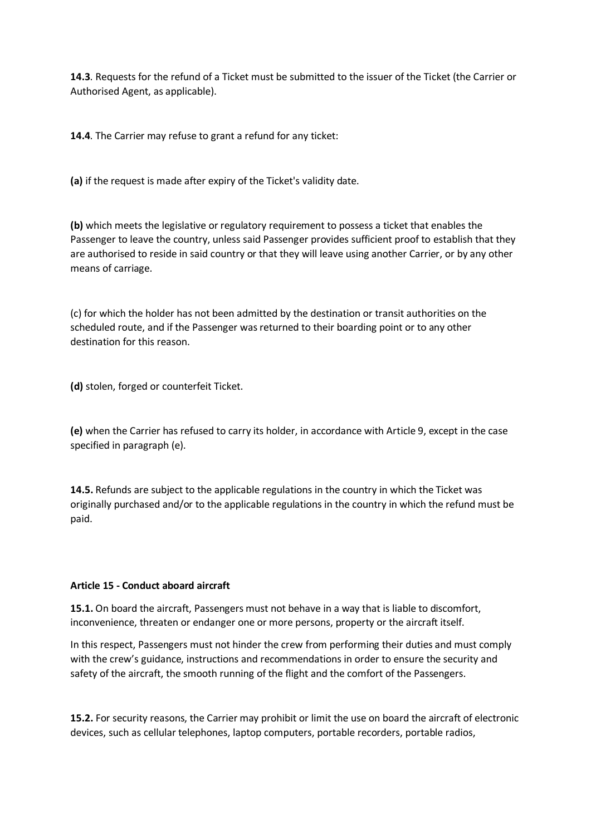**14.3**. Requests for the refund of a Ticket must be submitted to the issuer of the Ticket (the Carrier or Authorised Agent, as applicable).

**14.4**. The Carrier may refuse to grant a refund for any ticket:

**(a)** if the request is made after expiry of the Ticket's validity date.

**(b)** which meets the legislative or regulatory requirement to possess a ticket that enables the Passenger to leave the country, unless said Passenger provides sufficient proof to establish that they are authorised to reside in said country or that they will leave using another Carrier, or by any other means of carriage.

(c) for which the holder has not been admitted by the destination or transit authorities on the scheduled route, and if the Passenger was returned to their boarding point or to any other destination for this reason.

**(d)** stolen, forged or counterfeit Ticket.

**(e)** when the Carrier has refused to carry its holder, in accordance with Article 9, except in the case specified in paragraph (e).

**14.5.** Refunds are subject to the applicable regulations in the country in which the Ticket was originally purchased and/or to the applicable regulations in the country in which the refund must be paid.

#### **Article 15 - Conduct aboard aircraft**

**15.1.** On board the aircraft, Passengers must not behave in a way that is liable to discomfort, inconvenience, threaten or endanger one or more persons, property or the aircraft itself.

In this respect, Passengers must not hinder the crew from performing their duties and must comply with the crew's guidance, instructions and recommendations in order to ensure the security and safety of the aircraft, the smooth running of the flight and the comfort of the Passengers.

**15.2.** For security reasons, the Carrier may prohibit or limit the use on board the aircraft of electronic devices, such as cellular telephones, laptop computers, portable recorders, portable radios,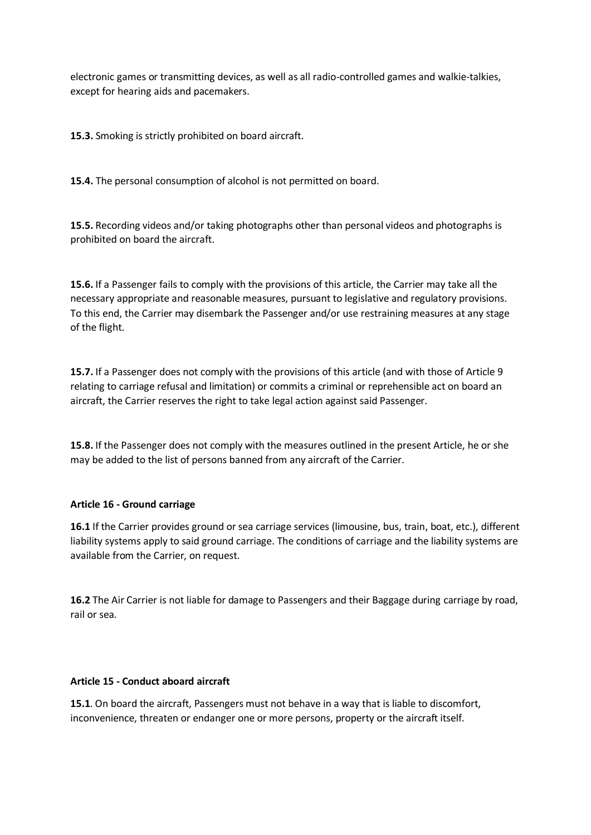electronic games or transmitting devices, as well as all radio-controlled games and walkie-talkies, except for hearing aids and pacemakers.

**15.3.** Smoking is strictly prohibited on board aircraft.

**15.4.** The personal consumption of alcohol is not permitted on board.

**15.5.** Recording videos and/or taking photographs other than personal videos and photographs is prohibited on board the aircraft.

**15.6.** If a Passenger fails to comply with the provisions of this article, the Carrier may take all the necessary appropriate and reasonable measures, pursuant to legislative and regulatory provisions. To this end, the Carrier may disembark the Passenger and/or use restraining measures at any stage of the flight.

**15.7.** If a Passenger does not comply with the provisions of this article (and with those of Article 9 relating to carriage refusal and limitation) or commits a criminal or reprehensible act on board an aircraft, the Carrier reserves the right to take legal action against said Passenger.

**15.8.** If the Passenger does not comply with the measures outlined in the present Article, he or she may be added to the list of persons banned from any aircraft of the Carrier.

# **Article 16 - Ground carriage**

**16.1** If the Carrier provides ground or sea carriage services (limousine, bus, train, boat, etc.), different liability systems apply to said ground carriage. The conditions of carriage and the liability systems are available from the Carrier, on request.

**16.2** The Air Carrier is not liable for damage to Passengers and their Baggage during carriage by road, rail or sea.

#### **Article 15 - Conduct aboard aircraft**

**15.1**. On board the aircraft, Passengers must not behave in a way that is liable to discomfort, inconvenience, threaten or endanger one or more persons, property or the aircraft itself.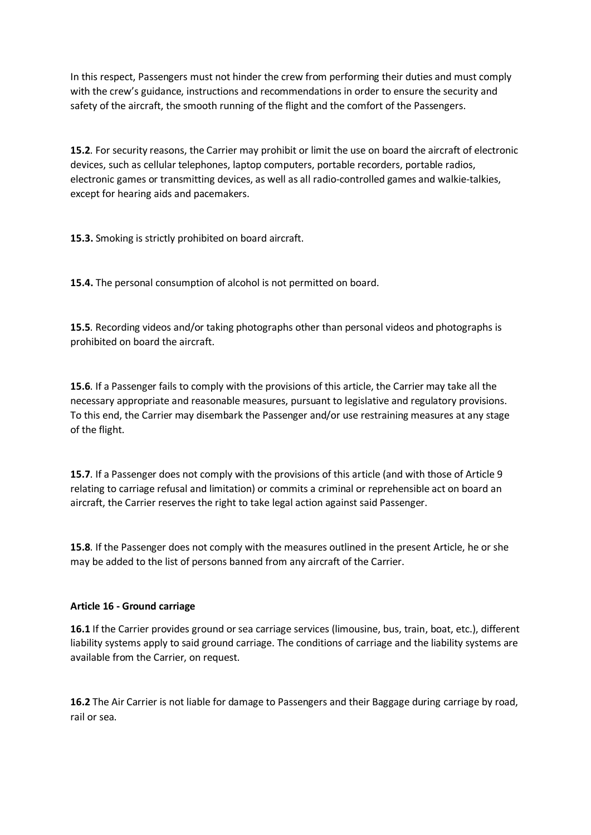In this respect, Passengers must not hinder the crew from performing their duties and must comply with the crew's guidance, instructions and recommendations in order to ensure the security and safety of the aircraft, the smooth running of the flight and the comfort of the Passengers.

**15.2**. For security reasons, the Carrier may prohibit or limit the use on board the aircraft of electronic devices, such as cellular telephones, laptop computers, portable recorders, portable radios, electronic games or transmitting devices, as well as all radio-controlled games and walkie-talkies, except for hearing aids and pacemakers.

**15.3.** Smoking is strictly prohibited on board aircraft.

**15.4.** The personal consumption of alcohol is not permitted on board.

**15.5**. Recording videos and/or taking photographs other than personal videos and photographs is prohibited on board the aircraft.

**15.6**. If a Passenger fails to comply with the provisions of this article, the Carrier may take all the necessary appropriate and reasonable measures, pursuant to legislative and regulatory provisions. To this end, the Carrier may disembark the Passenger and/or use restraining measures at any stage of the flight.

**15.7**. If a Passenger does not comply with the provisions of this article (and with those of Article 9 relating to carriage refusal and limitation) or commits a criminal or reprehensible act on board an aircraft, the Carrier reserves the right to take legal action against said Passenger.

**15.8**. If the Passenger does not comply with the measures outlined in the present Article, he or she may be added to the list of persons banned from any aircraft of the Carrier.

# **Article 16 - Ground carriage**

**16.1** If the Carrier provides ground or sea carriage services (limousine, bus, train, boat, etc.), different liability systems apply to said ground carriage. The conditions of carriage and the liability systems are available from the Carrier, on request.

**16.2** The Air Carrier is not liable for damage to Passengers and their Baggage during carriage by road, rail or sea.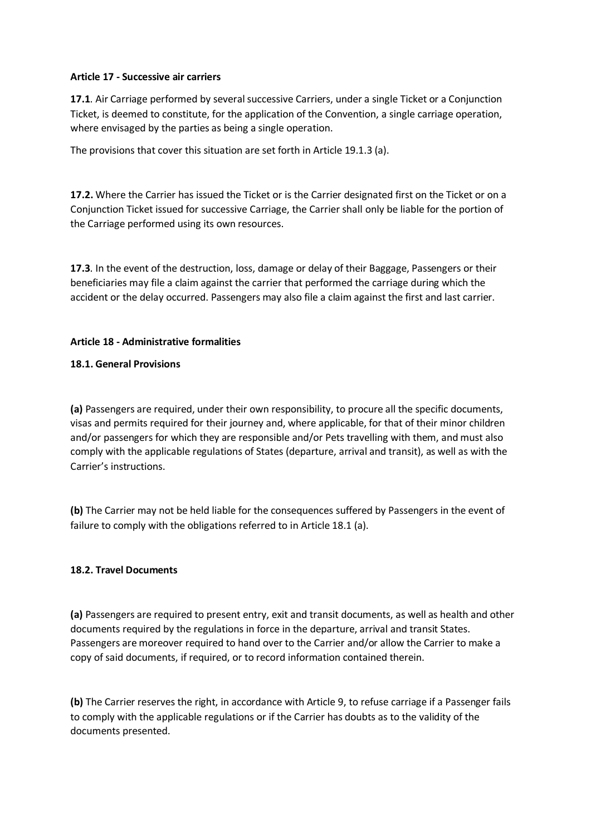### **Article 17 - Successive air carriers**

**17.1**. Air Carriage performed by several successive Carriers, under a single Ticket or a Conjunction Ticket, is deemed to constitute, for the application of the Convention, a single carriage operation, where envisaged by the parties as being a single operation.

The provisions that cover this situation are set forth in Article 19.1.3 (a).

**17.2.** Where the Carrier has issued the Ticket or is the Carrier designated first on the Ticket or on a Conjunction Ticket issued for successive Carriage, the Carrier shall only be liable for the portion of the Carriage performed using its own resources.

**17.3**. In the event of the destruction, loss, damage or delay of their Baggage, Passengers or their beneficiaries may file a claim against the carrier that performed the carriage during which the accident or the delay occurred. Passengers may also file a claim against the first and last carrier.

### **Article 18 - Administrative formalities**

### **18.1. General Provisions**

**(a)** Passengers are required, under their own responsibility, to procure all the specific documents, visas and permits required for their journey and, where applicable, for that of their minor children and/or passengers for which they are responsible and/or Pets travelling with them, and must also comply with the applicable regulations of States (departure, arrival and transit), as well as with the Carrier's instructions.

**(b)** The Carrier may not be held liable for the consequences suffered by Passengers in the event of failure to comply with the obligations referred to in Article 18.1 (a).

#### **18.2. Travel Documents**

**(a)** Passengers are required to present entry, exit and transit documents, as well as health and other documents required by the regulations in force in the departure, arrival and transit States. Passengers are moreover required to hand over to the Carrier and/or allow the Carrier to make a copy of said documents, if required, or to record information contained therein.

**(b)** The Carrier reserves the right, in accordance with Article 9, to refuse carriage if a Passenger fails to comply with the applicable regulations or if the Carrier has doubts as to the validity of the documents presented.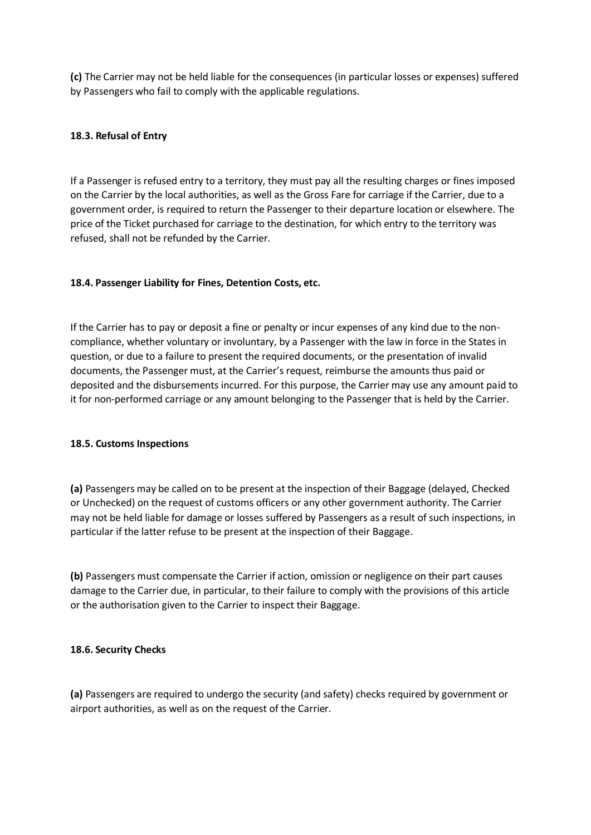**(c)** The Carrier may not be held liable for the consequences (in particular losses or expenses) suffered by Passengers who fail to comply with the applicable regulations.

### **18.3. Refusal of Entry**

If a Passenger is refused entry to a territory, they must pay all the resulting charges or fines imposed on the Carrier by the local authorities, as well as the Gross Fare for carriage if the Carrier, due to a government order, is required to return the Passenger to their departure location or elsewhere. The price of the Ticket purchased for carriage to the destination, for which entry to the territory was refused, shall not be refunded by the Carrier.

#### **18.4. Passenger Liability for Fines, Detention Costs, etc.**

If the Carrier has to pay or deposit a fine or penalty or incur expenses of any kind due to the noncompliance, whether voluntary or involuntary, by a Passenger with the law in force in the States in question, or due to a failure to present the required documents, or the presentation of invalid documents, the Passenger must, at the Carrier's request, reimburse the amounts thus paid or deposited and the disbursements incurred. For this purpose, the Carrier may use any amount paid to it for non-performed carriage or any amount belonging to the Passenger that is held by the Carrier.

#### **18.5. Customs Inspections**

**(a)** Passengers may be called on to be present at the inspection of their Baggage (delayed, Checked or Unchecked) on the request of customs officers or any other government authority. The Carrier may not be held liable for damage or losses suffered by Passengers as a result of such inspections, in particular if the latter refuse to be present at the inspection of their Baggage.

**(b)** Passengers must compensate the Carrier if action, omission or negligence on their part causes damage to the Carrier due, in particular, to their failure to comply with the provisions of this article or the authorisation given to the Carrier to inspect their Baggage.

#### **18.6. Security Checks**

**(a)** Passengers are required to undergo the security (and safety) checks required by government or airport authorities, as well as on the request of the Carrier.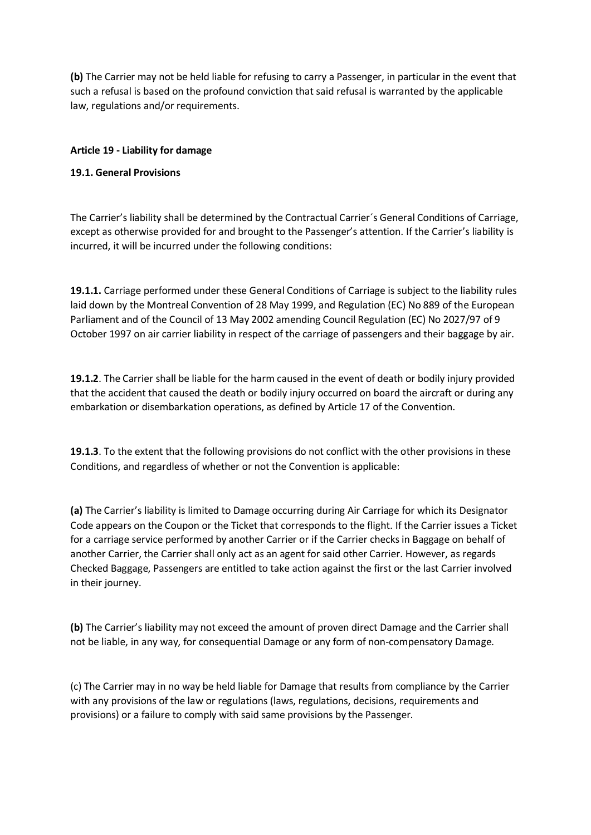**(b)** The Carrier may not be held liable for refusing to carry a Passenger, in particular in the event that such a refusal is based on the profound conviction that said refusal is warranted by the applicable law, regulations and/or requirements.

# **Article 19 - Liability for damage**

# **19.1. General Provisions**

The Carrier's liability shall be determined by the Contractual Carrier´s General Conditions of Carriage, except as otherwise provided for and brought to the Passenger's attention. If the Carrier's liability is incurred, it will be incurred under the following conditions:

**19.1.1.** Carriage performed under these General Conditions of Carriage is subject to the liability rules laid down by the Montreal Convention of 28 May 1999, and Regulation (EC) No 889 of the European Parliament and of the Council of 13 May 2002 amending Council Regulation (EC) No 2027/97 of 9 October 1997 on air carrier liability in respect of the carriage of passengers and their baggage by air.

**19.1.2**. The Carrier shall be liable for the harm caused in the event of death or bodily injury provided that the accident that caused the death or bodily injury occurred on board the aircraft or during any embarkation or disembarkation operations, as defined by Article 17 of the Convention.

**19.1.3**. To the extent that the following provisions do not conflict with the other provisions in these Conditions, and regardless of whether or not the Convention is applicable:

**(a)** The Carrier's liability is limited to Damage occurring during Air Carriage for which its Designator Code appears on the Coupon or the Ticket that corresponds to the flight. If the Carrier issues a Ticket for a carriage service performed by another Carrier or if the Carrier checks in Baggage on behalf of another Carrier, the Carrier shall only act as an agent for said other Carrier. However, as regards Checked Baggage, Passengers are entitled to take action against the first or the last Carrier involved in their journey.

**(b)** The Carrier's liability may not exceed the amount of proven direct Damage and the Carrier shall not be liable, in any way, for consequential Damage or any form of non-compensatory Damage.

(c) The Carrier may in no way be held liable for Damage that results from compliance by the Carrier with any provisions of the law or regulations (laws, regulations, decisions, requirements and provisions) or a failure to comply with said same provisions by the Passenger.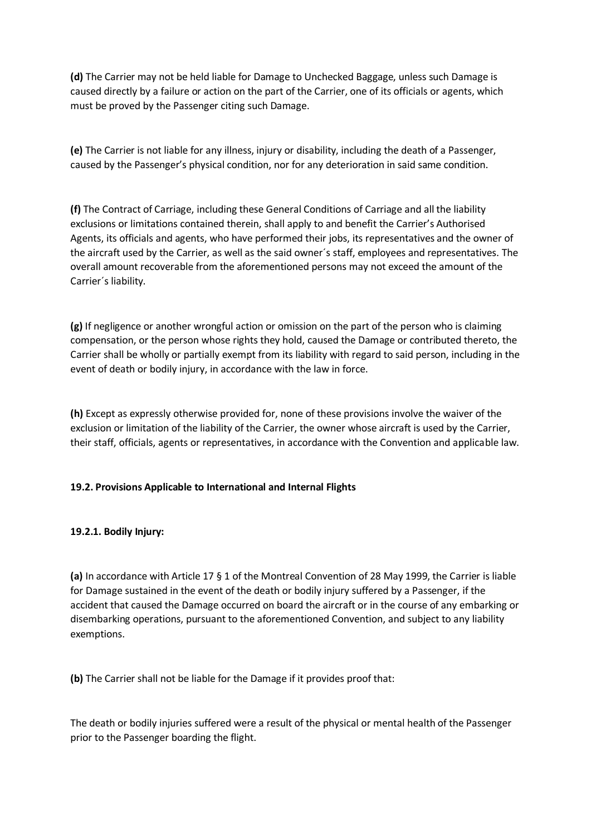**(d)** The Carrier may not be held liable for Damage to Unchecked Baggage, unless such Damage is caused directly by a failure or action on the part of the Carrier, one of its officials or agents, which must be proved by the Passenger citing such Damage.

**(e)** The Carrier is not liable for any illness, injury or disability, including the death of a Passenger, caused by the Passenger's physical condition, nor for any deterioration in said same condition.

**(f)** The Contract of Carriage, including these General Conditions of Carriage and all the liability exclusions or limitations contained therein, shall apply to and benefit the Carrier's Authorised Agents, its officials and agents, who have performed their jobs, its representatives and the owner of the aircraft used by the Carrier, as well as the said owner´s staff, employees and representatives. The overall amount recoverable from the aforementioned persons may not exceed the amount of the Carrier´s liability.

**(g)** If negligence or another wrongful action or omission on the part of the person who is claiming compensation, or the person whose rights they hold, caused the Damage or contributed thereto, the Carrier shall be wholly or partially exempt from its liability with regard to said person, including in the event of death or bodily injury, in accordance with the law in force.

**(h)** Except as expressly otherwise provided for, none of these provisions involve the waiver of the exclusion or limitation of the liability of the Carrier, the owner whose aircraft is used by the Carrier, their staff, officials, agents or representatives, in accordance with the Convention and applicable law.

# **19.2. Provisions Applicable to International and Internal Flights**

# **19.2.1. Bodily Injury:**

**(a)** In accordance with Article 17 § 1 of the Montreal Convention of 28 May 1999, the Carrier is liable for Damage sustained in the event of the death or bodily injury suffered by a Passenger, if the accident that caused the Damage occurred on board the aircraft or in the course of any embarking or disembarking operations, pursuant to the aforementioned Convention, and subject to any liability exemptions.

**(b)** The Carrier shall not be liable for the Damage if it provides proof that:

The death or bodily injuries suffered were a result of the physical or mental health of the Passenger prior to the Passenger boarding the flight.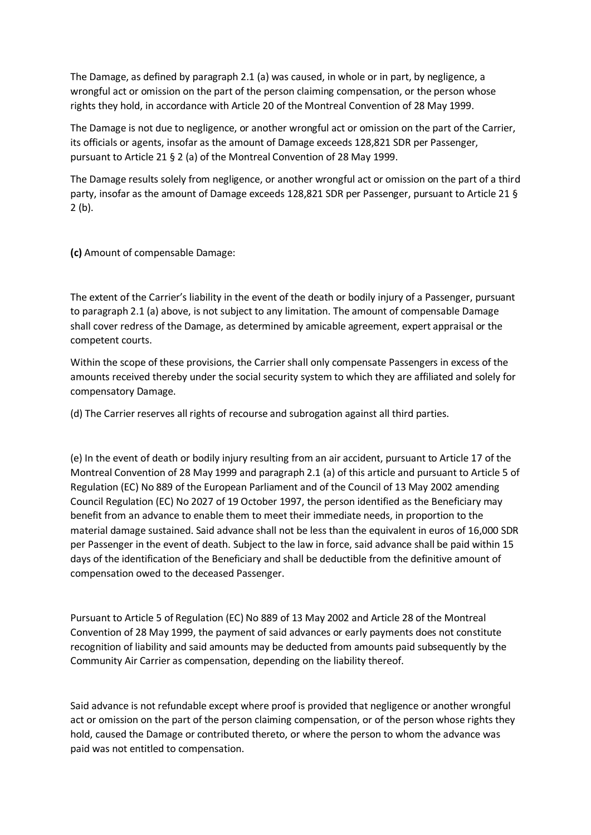The Damage, as defined by paragraph 2.1 (a) was caused, in whole or in part, by negligence, a wrongful act or omission on the part of the person claiming compensation, or the person whose rights they hold, in accordance with Article 20 of the Montreal Convention of 28 May 1999.

The Damage is not due to negligence, or another wrongful act or omission on the part of the Carrier, its officials or agents, insofar as the amount of Damage exceeds 128,821 SDR per Passenger, pursuant to Article 21 § 2 (a) of the Montreal Convention of 28 May 1999.

The Damage results solely from negligence, or another wrongful act or omission on the part of a third party, insofar as the amount of Damage exceeds 128,821 SDR per Passenger, pursuant to Article 21 § 2 (b).

**(c)** Amount of compensable Damage:

The extent of the Carrier's liability in the event of the death or bodily injury of a Passenger, pursuant to paragraph 2.1 (a) above, is not subject to any limitation. The amount of compensable Damage shall cover redress of the Damage, as determined by amicable agreement, expert appraisal or the competent courts.

Within the scope of these provisions, the Carrier shall only compensate Passengers in excess of the amounts received thereby under the social security system to which they are affiliated and solely for compensatory Damage.

(d) The Carrier reserves all rights of recourse and subrogation against all third parties.

(e) In the event of death or bodily injury resulting from an air accident, pursuant to Article 17 of the Montreal Convention of 28 May 1999 and paragraph 2.1 (a) of this article and pursuant to Article 5 of Regulation (EC) No 889 of the European Parliament and of the Council of 13 May 2002 amending Council Regulation (EC) No 2027 of 19 October 1997, the person identified as the Beneficiary may benefit from an advance to enable them to meet their immediate needs, in proportion to the material damage sustained. Said advance shall not be less than the equivalent in euros of 16,000 SDR per Passenger in the event of death. Subject to the law in force, said advance shall be paid within 15 days of the identification of the Beneficiary and shall be deductible from the definitive amount of compensation owed to the deceased Passenger.

Pursuant to Article 5 of Regulation (EC) No 889 of 13 May 2002 and Article 28 of the Montreal Convention of 28 May 1999, the payment of said advances or early payments does not constitute recognition of liability and said amounts may be deducted from amounts paid subsequently by the Community Air Carrier as compensation, depending on the liability thereof.

Said advance is not refundable except where proof is provided that negligence or another wrongful act or omission on the part of the person claiming compensation, or of the person whose rights they hold, caused the Damage or contributed thereto, or where the person to whom the advance was paid was not entitled to compensation.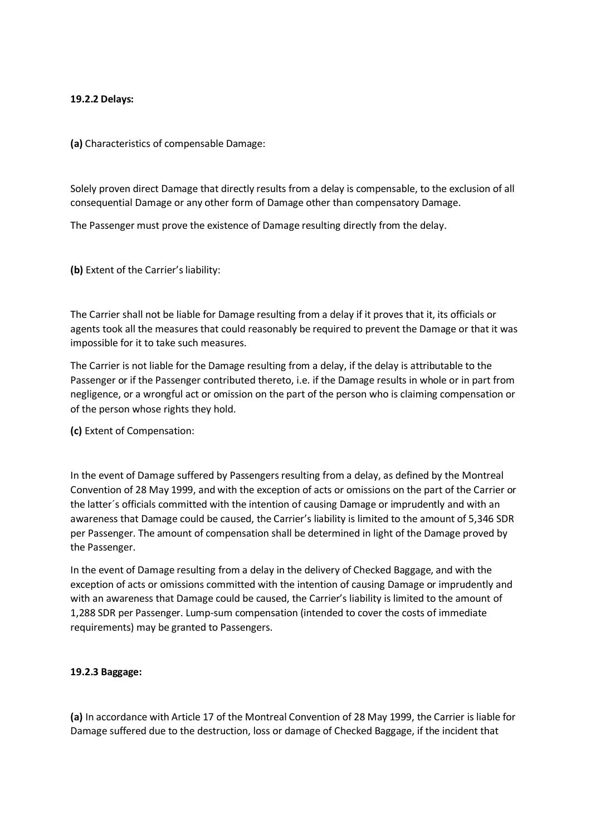### **19.2.2 Delays:**

**(a)** Characteristics of compensable Damage:

Solely proven direct Damage that directly results from a delay is compensable, to the exclusion of all consequential Damage or any other form of Damage other than compensatory Damage.

The Passenger must prove the existence of Damage resulting directly from the delay.

**(b)** Extent of the Carrier's liability:

The Carrier shall not be liable for Damage resulting from a delay if it proves that it, its officials or agents took all the measures that could reasonably be required to prevent the Damage or that it was impossible for it to take such measures.

The Carrier is not liable for the Damage resulting from a delay, if the delay is attributable to the Passenger or if the Passenger contributed thereto, i.e. if the Damage results in whole or in part from negligence, or a wrongful act or omission on the part of the person who is claiming compensation or of the person whose rights they hold.

**(c)** Extent of Compensation:

In the event of Damage suffered by Passengers resulting from a delay, as defined by the Montreal Convention of 28 May 1999, and with the exception of acts or omissions on the part of the Carrier or the latter´s officials committed with the intention of causing Damage or imprudently and with an awareness that Damage could be caused, the Carrier's liability is limited to the amount of 5,346 SDR per Passenger. The amount of compensation shall be determined in light of the Damage proved by the Passenger.

In the event of Damage resulting from a delay in the delivery of Checked Baggage, and with the exception of acts or omissions committed with the intention of causing Damage or imprudently and with an awareness that Damage could be caused, the Carrier's liability is limited to the amount of 1,288 SDR per Passenger. Lump-sum compensation (intended to cover the costs of immediate requirements) may be granted to Passengers.

#### **19.2.3 Baggage:**

**(a)** In accordance with Article 17 of the Montreal Convention of 28 May 1999, the Carrier is liable for Damage suffered due to the destruction, loss or damage of Checked Baggage, if the incident that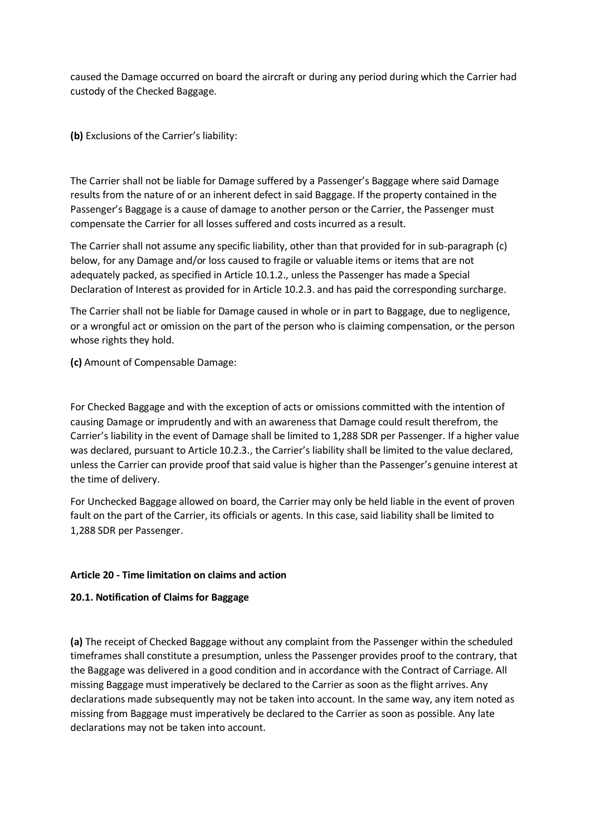caused the Damage occurred on board the aircraft or during any period during which the Carrier had custody of the Checked Baggage.

**(b)** Exclusions of the Carrier's liability:

The Carrier shall not be liable for Damage suffered by a Passenger's Baggage where said Damage results from the nature of or an inherent defect in said Baggage. If the property contained in the Passenger's Baggage is a cause of damage to another person or the Carrier, the Passenger must compensate the Carrier for all losses suffered and costs incurred as a result.

The Carrier shall not assume any specific liability, other than that provided for in sub-paragraph (c) below, for any Damage and/or loss caused to fragile or valuable items or items that are not adequately packed, as specified in Article 10.1.2., unless the Passenger has made a Special Declaration of Interest as provided for in Article 10.2.3. and has paid the corresponding surcharge.

The Carrier shall not be liable for Damage caused in whole or in part to Baggage, due to negligence, or a wrongful act or omission on the part of the person who is claiming compensation, or the person whose rights they hold.

**(c)** Amount of Compensable Damage:

For Checked Baggage and with the exception of acts or omissions committed with the intention of causing Damage or imprudently and with an awareness that Damage could result therefrom, the Carrier's liability in the event of Damage shall be limited to 1,288 SDR per Passenger. If a higher value was declared, pursuant to Article 10.2.3., the Carrier's liability shall be limited to the value declared, unless the Carrier can provide proof that said value is higher than the Passenger's genuine interest at the time of delivery.

For Unchecked Baggage allowed on board, the Carrier may only be held liable in the event of proven fault on the part of the Carrier, its officials or agents. In this case, said liability shall be limited to 1,288 SDR per Passenger.

#### **Article 20 - Time limitation on claims and action**

#### **20.1. Notification of Claims for Baggage**

**(a)** The receipt of Checked Baggage without any complaint from the Passenger within the scheduled timeframes shall constitute a presumption, unless the Passenger provides proof to the contrary, that the Baggage was delivered in a good condition and in accordance with the Contract of Carriage. All missing Baggage must imperatively be declared to the Carrier as soon as the flight arrives. Any declarations made subsequently may not be taken into account. In the same way, any item noted as missing from Baggage must imperatively be declared to the Carrier as soon as possible. Any late declarations may not be taken into account.